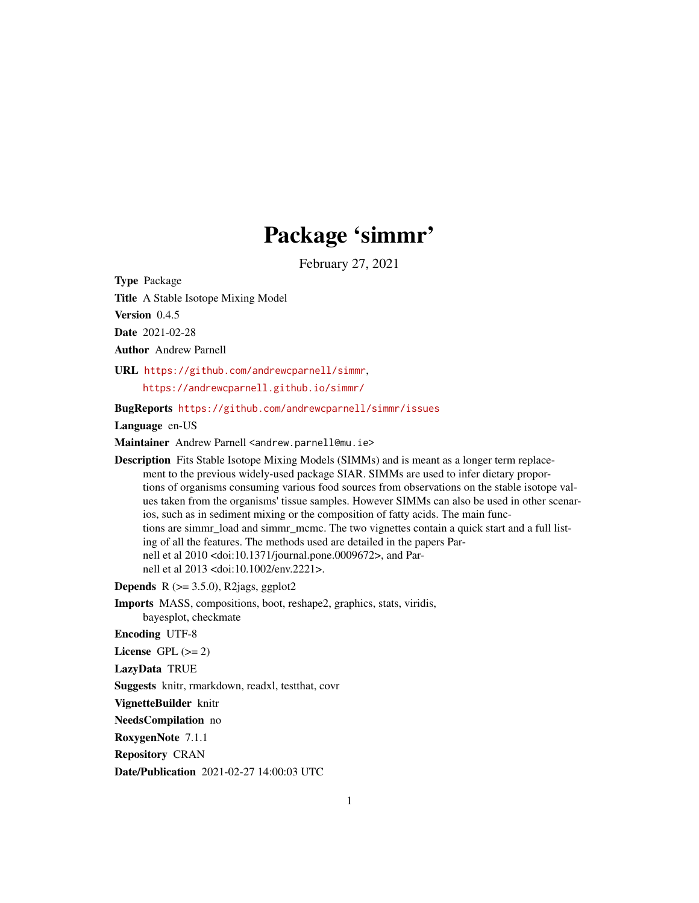# Package 'simmr'

February 27, 2021

Type Package

Title A Stable Isotope Mixing Model

Version 0.4.5

Date 2021-02-28

Author Andrew Parnell

URL <https://github.com/andrewcparnell/simmr>, <https://andrewcparnell.github.io/simmr/>

BugReports <https://github.com/andrewcparnell/simmr/issues>

Language en-US

Maintainer Andrew Parnell <andrew.parnell@mu.ie>

Description Fits Stable Isotope Mixing Models (SIMMs) and is meant as a longer term replacement to the previous widely-used package SIAR. SIMMs are used to infer dietary proportions of organisms consuming various food sources from observations on the stable isotope values taken from the organisms' tissue samples. However SIMMs can also be used in other scenarios, such as in sediment mixing or the composition of fatty acids. The main functions are simmr load and simmr mcmc. The two vignettes contain a quick start and a full listing of all the features. The methods used are detailed in the papers Parnell et al 2010 <doi:10.1371/journal.pone.0009672>, and Parnell et al 2013 <doi:10.1002/env.2221>.

**Depends** R  $(>= 3.5.0)$ , R2jags, ggplot2

Imports MASS, compositions, boot, reshape2, graphics, stats, viridis, bayesplot, checkmate

Encoding UTF-8

License GPL  $(>= 2)$ 

LazyData TRUE

Suggests knitr, rmarkdown, readxl, testthat, covr

VignetteBuilder knitr

NeedsCompilation no

RoxygenNote 7.1.1

Repository CRAN

Date/Publication 2021-02-27 14:00:03 UTC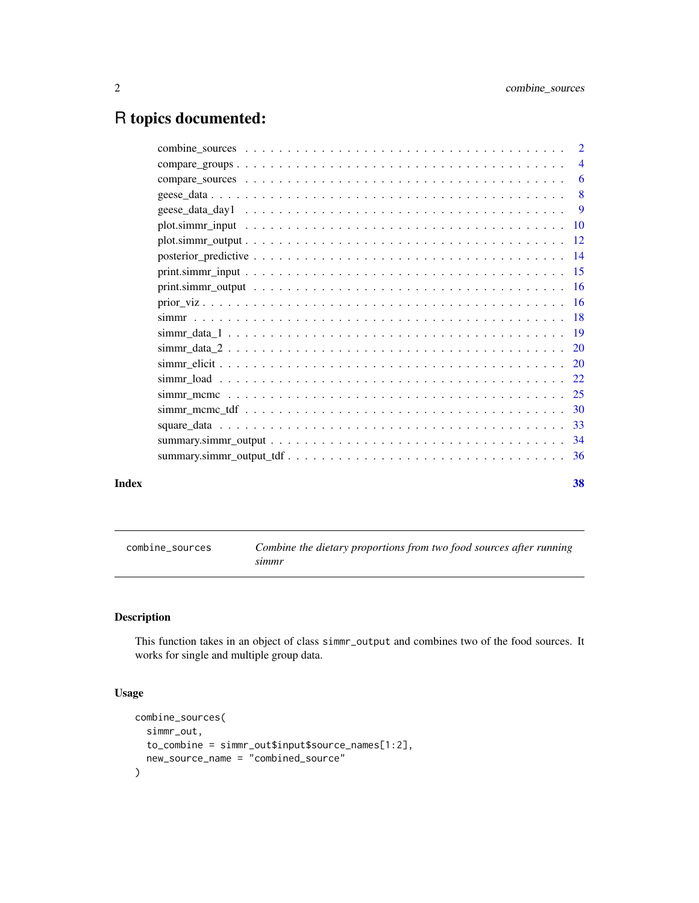## <span id="page-1-0"></span>R topics documented:

| Index | 38 |
|-------|----|

combine\_sources *Combine the dietary proportions from two food sources after running simmr*

#### Description

This function takes in an object of class simmr\_output and combines two of the food sources. It works for single and multiple group data.

#### Usage

```
combine_sources(
  simmr_out,
  to_combine = simmr_out$input$source_names[1:2],
  new_source_name = "combined_source"
\mathcal{L}
```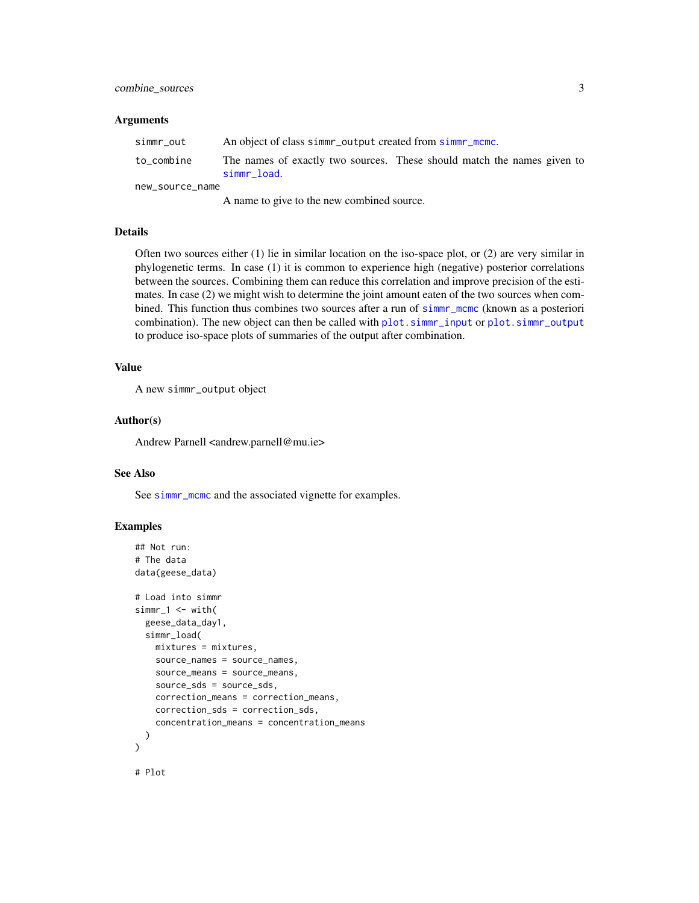#### <span id="page-2-0"></span>combine\_sources 3

#### **Arguments**

| simmr out       | An object of class simmer output created from simmer mome.                             |  |  |  |  |
|-----------------|----------------------------------------------------------------------------------------|--|--|--|--|
| to combine      | The names of exactly two sources. These should match the names given to<br>simmr load. |  |  |  |  |
| new_source_name |                                                                                        |  |  |  |  |

A name to give to the new combined source.

#### Details

Often two sources either (1) lie in similar location on the iso-space plot, or (2) are very similar in phylogenetic terms. In case (1) it is common to experience high (negative) posterior correlations between the sources. Combining them can reduce this correlation and improve precision of the estimates. In case (2) we might wish to determine the joint amount eaten of the two sources when combined. This function thus combines two sources after a run of [simmr\\_mcmc](#page-24-1) (known as a posteriori combination). The new object can then be called with [plot.simmr\\_input](#page-9-1) or [plot.simmr\\_output](#page-11-1) to produce iso-space plots of summaries of the output after combination.

#### Value

A new simmr\_output object

#### Author(s)

Andrew Parnell <andrew.parnell@mu.ie>

#### See Also

See [simmr\\_mcmc](#page-24-1) and the associated vignette for examples.

```
## Not run:
# The data
data(geese_data)
# Load into simmr
simr_1 < - with(
 geese_data_day1,
 simmr_load(
   mixtures = mixtures,
   source_names = source_names,
   source_means = source_means,
    source_sds = source_sds,
    correction_means = correction_means,
    correction_sds = correction_sds,
    concentration_means = concentration_means
 )
\mathcal{L}# Plot
```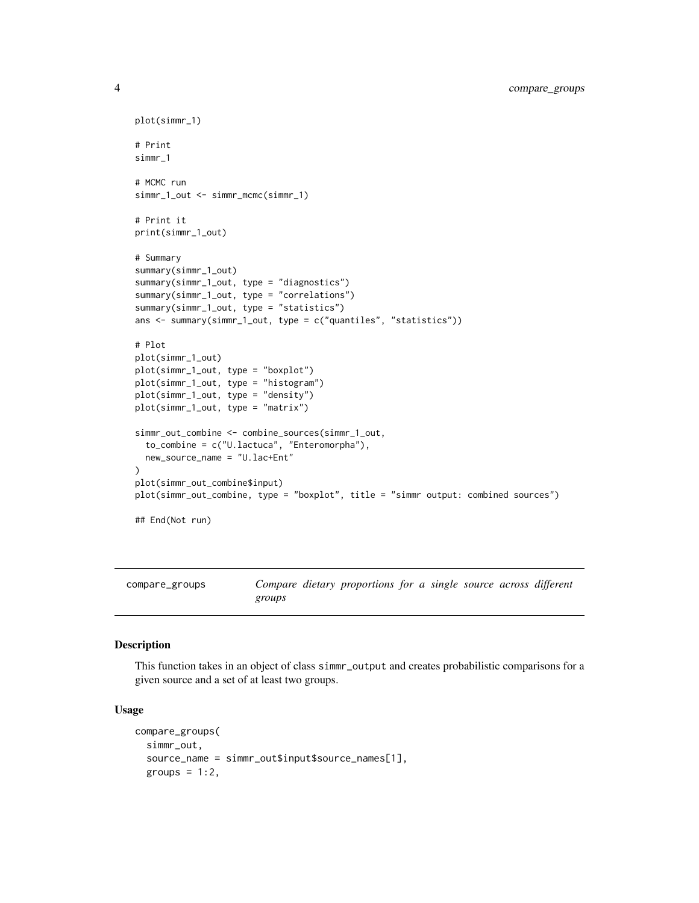```
plot(simmr_1)
# Print
simmr_1
# MCMC run
simmr_1_out <- simmr_mcmc(simmr_1)
# Print it
print(simmr_1_out)
# Summary
summary(simmr_1_out)
summary(simmr_1_out, type = "diagnostics")
summary(simmr_1_out, type = "correlations")
summary(simmr_1_out, type = "statistics")
ans <- summary(simmr_1_out, type = c("quantiles", "statistics"))
# Plot
plot(simmr_1_out)
plot(simmr_1_out, type = "boxplot")
plot(simmr_1_out, type = "histogram")
plot(simmr_1_out, type = "density")
plot(simmr_1_out, type = "matrix")
simmr_out_combine <- combine_sources(simmr_1_out,
  to_combine = c("U.lactuca", "Enteromorpha"),
  new_source_name = "U.lac+Ent"
)
plot(simmr_out_combine$input)
plot(simmr_out_combine, type = "boxplot", title = "simmr output: combined sources")
## End(Not run)
```
compare\_groups *Compare dietary proportions for a single source across different groups*

#### Description

This function takes in an object of class simmr\_output and creates probabilistic comparisons for a given source and a set of at least two groups.

#### Usage

```
compare_groups(
  simmr_out,
  source_name = simmr_out$input$source_names[1],
  groups = 1:2,
```
<span id="page-3-0"></span>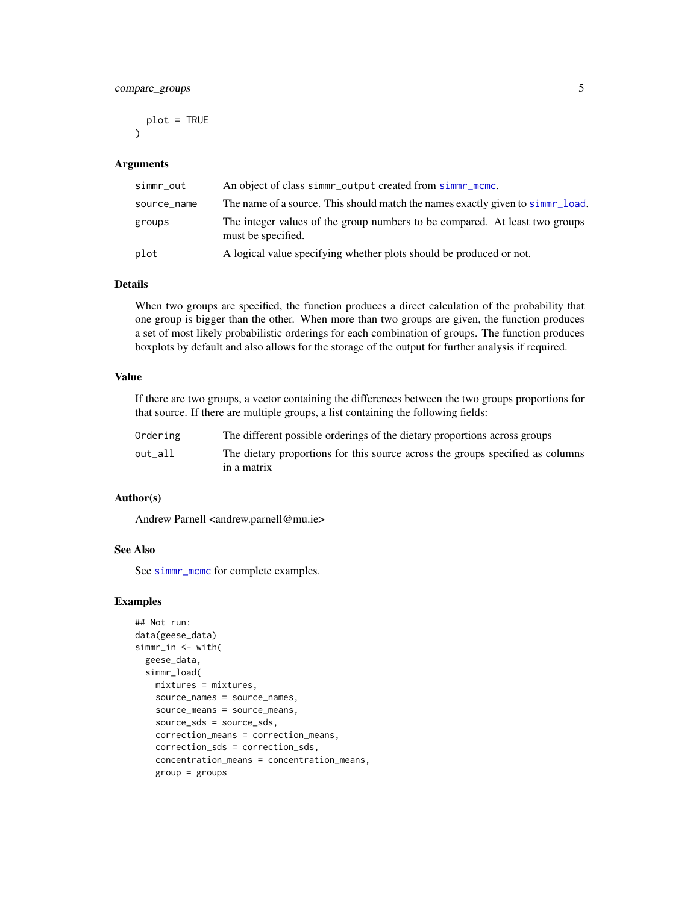<span id="page-4-0"></span>plot = TRUE  $\lambda$ 

#### Arguments

| simmr_out   | An object of class simmer output created from simmer mome.                                        |
|-------------|---------------------------------------------------------------------------------------------------|
| source_name | The name of a source. This should match the names exactly given to simm r_load.                   |
| groups      | The integer values of the group numbers to be compared. At least two groups<br>must be specified. |
| plot        | A logical value specifying whether plots should be produced or not.                               |

#### Details

When two groups are specified, the function produces a direct calculation of the probability that one group is bigger than the other. When more than two groups are given, the function produces a set of most likely probabilistic orderings for each combination of groups. The function produces boxplots by default and also allows for the storage of the output for further analysis if required.

#### Value

If there are two groups, a vector containing the differences between the two groups proportions for that source. If there are multiple groups, a list containing the following fields:

| Ordering | The different possible orderings of the dietary proportions across groups                     |
|----------|-----------------------------------------------------------------------------------------------|
| out all  | The dietary proportions for this source across the groups specified as columns<br>in a matrix |

#### Author(s)

Andrew Parnell <andrew.parnell@mu.ie>

#### See Also

See [simmr\\_mcmc](#page-24-1) for complete examples.

```
## Not run:
data(geese_data)
simmr_in <- with(
  geese_data,
  simmr_load(
   mixtures = mixtures,
   source_names = source_names,
    source_means = source_means,
    source_sds = source_sds,
    correction_means = correction_means,
    correction_sds = correction_sds,
    concentration_means = concentration_means,
    group = groups
```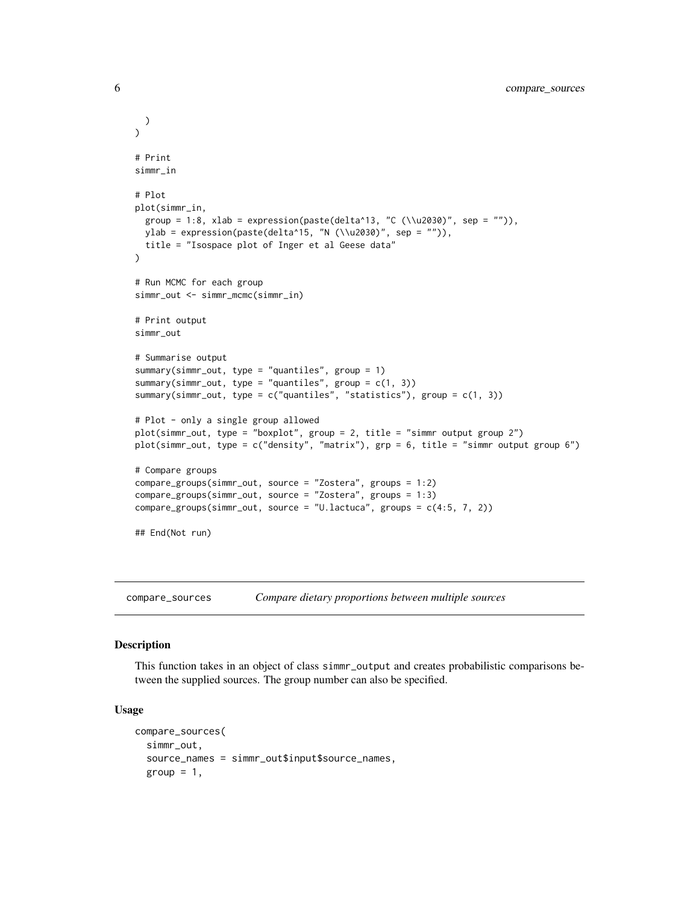```
)
\mathcal{L}# Print
simmr_in
# Plot
plot(simmr_in,
 group = 1:8, xlab = expression(paste(delta^13, "C (\\u2030)", sep = "")),
 ylab = expression(paste(delta^15, "N (\\u2030)", sep = "")),
 title = "Isospace plot of Inger et al Geese data"
\lambda# Run MCMC for each group
simmr_out <- simmr_mcmc(simmr_in)
# Print output
simmr_out
# Summarise output
summary(simmr_out, type = "quantiles", group = 1)
summary(simmr_out, type = "quantiles", group = c(1, 3))
summary(simmr_out, type = c("quantiles", "statistics"), group = c(1, 3))
# Plot - only a single group allowed
plot(simmr_out, type = "boxplot", group = 2, title = "simmr output group 2")
plot(simmr_out, type = c("density", "matrix"), grp = 6, title = "simmr output group 6")
# Compare groups
compare_groups(simmr_out, source = "Zostera", groups = 1:2)
compare_groups(simmr_out, source = "Zostera", groups = 1:3)
compare_groups(simmr_out, source = "U.lactuca", groups = c(4:5, 7, 2))
## End(Not run)
```
compare\_sources *Compare dietary proportions between multiple sources*

#### Description

This function takes in an object of class simmr\_output and creates probabilistic comparisons between the supplied sources. The group number can also be specified.

#### Usage

```
compare_sources(
  simmr_out,
  source_names = simmr_out$input$source_names,
  group = 1,
```
<span id="page-5-0"></span>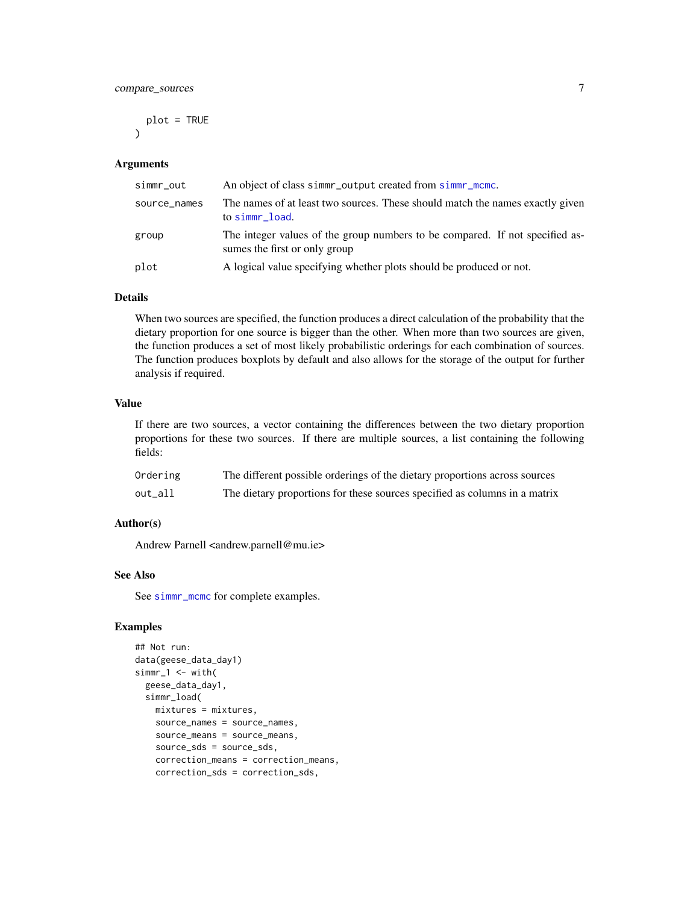#### <span id="page-6-0"></span>compare\_sources 7

plot = TRUE  $\lambda$ 

#### Arguments

| simmr_out    | An object of class simmr_output created from simmr_mcmc.                                                      |
|--------------|---------------------------------------------------------------------------------------------------------------|
| source_names | The names of at least two sources. These should match the names exactly given<br>to simmr_load.               |
| group        | The integer values of the group numbers to be compared. If not specified as-<br>sumes the first or only group |
| plot         | A logical value specifying whether plots should be produced or not.                                           |

#### Details

When two sources are specified, the function produces a direct calculation of the probability that the dietary proportion for one source is bigger than the other. When more than two sources are given, the function produces a set of most likely probabilistic orderings for each combination of sources. The function produces boxplots by default and also allows for the storage of the output for further analysis if required.

#### Value

If there are two sources, a vector containing the differences between the two dietary proportion proportions for these two sources. If there are multiple sources, a list containing the following fields:

| Ordering | The different possible orderings of the dietary proportions across sources |
|----------|----------------------------------------------------------------------------|
| out_all  | The dietary proportions for these sources specified as columns in a matrix |

#### Author(s)

Andrew Parnell <andrew.parnell@mu.ie>

#### See Also

See [simmr\\_mcmc](#page-24-1) for complete examples.

```
## Not run:
data(geese_data_day1)
simm-1 <- with(
 geese_data_day1,
 simmr_load(
   mixtures = mixtures,
   source_names = source_names,
   source_means = source_means,
   source_sds = source_sds,
   correction_means = correction_means,
   correction_sds = correction_sds,
```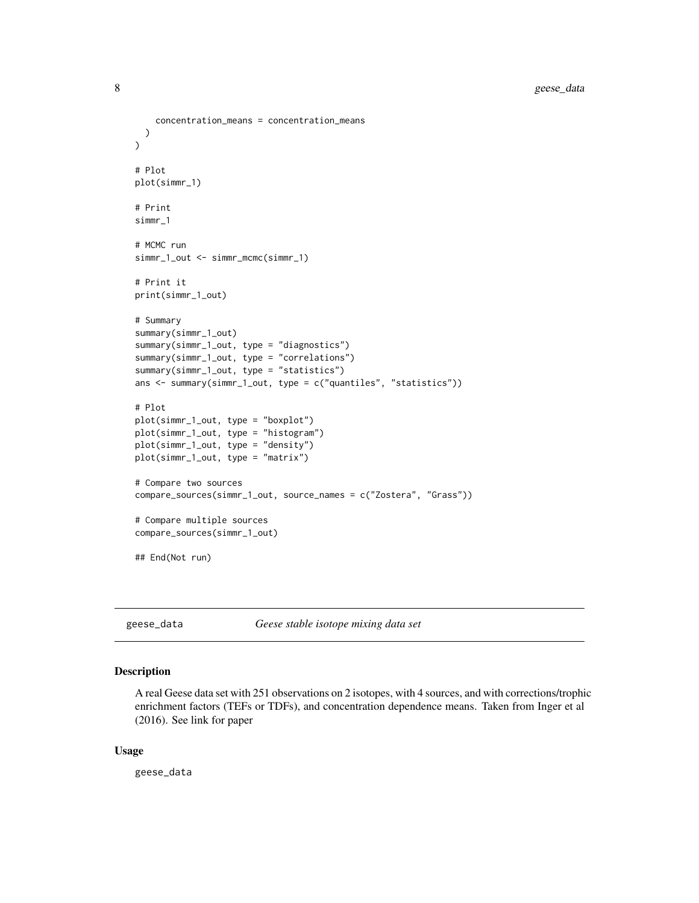```
concentration_means = concentration_means
  )
)
# Plot
plot(simmr_1)
# Print
simmr_1
# MCMC run
simmr_1_out <- simmr_mcmc(simmr_1)
# Print it
print(simmr_1_out)
# Summary
summary(simmr_1_out)
summary(simmr_1_out, type = "diagnostics")
summary(simmr_1_out, type = "correlations")
summary(simmr_1_out, type = "statistics")
ans <- summary(simmr_1_out, type = c("quantiles", "statistics"))
# Plot
plot(simmr_1_out, type = "boxplot")
plot(simmr_1_out, type = "histogram")
plot(simmr_1_out, type = "density")
plot(simmr_1_out, type = "matrix")
# Compare two sources
compare_sources(simmr_1_out, source_names = c("Zostera", "Grass"))
# Compare multiple sources
compare_sources(simmr_1_out)
## End(Not run)
```
geese\_data *Geese stable isotope mixing data set*

#### Description

A real Geese data set with 251 observations on 2 isotopes, with 4 sources, and with corrections/trophic enrichment factors (TEFs or TDFs), and concentration dependence means. Taken from Inger et al (2016). See link for paper

#### Usage

geese\_data

<span id="page-7-0"></span>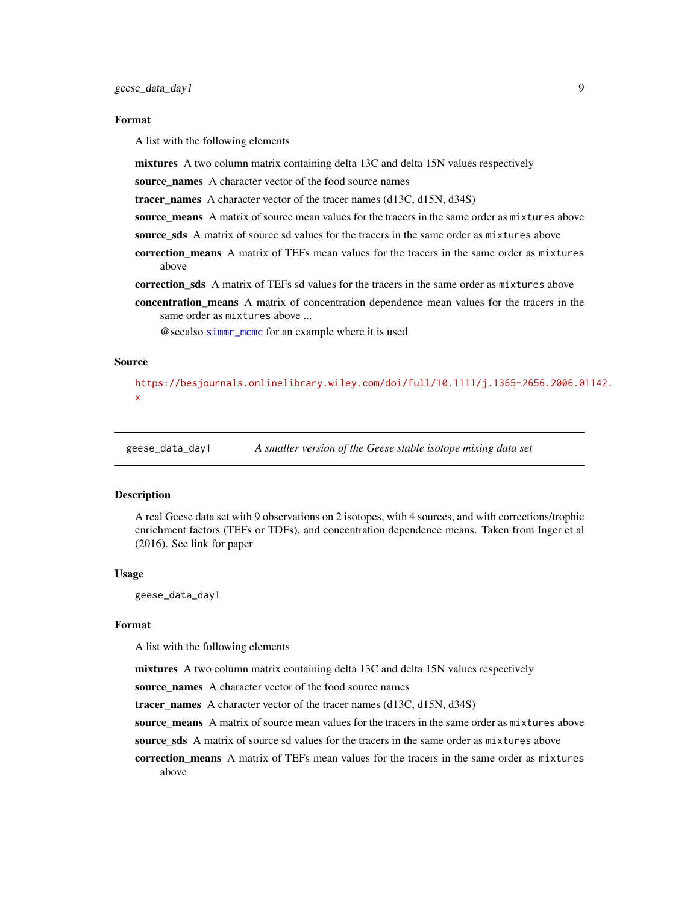#### <span id="page-8-0"></span>Format

A list with the following elements

mixtures A two column matrix containing delta 13C and delta 15N values respectively

source\_names A character vector of the food source names

tracer names A character vector of the tracer names  $(d13C, d15N, d34S)$ 

source means A matrix of source mean values for the tracers in the same order as mixtures above

- source sds A matrix of source sd values for the tracers in the same order as mixtures above
- correction means A matrix of TEFs mean values for the tracers in the same order as mixtures above
- correction sds A matrix of TEFs sd values for the tracers in the same order as mixtures above
- concentration means A matrix of concentration dependence mean values for the tracers in the same order as mixtures above ...

@seealso [simmr\\_mcmc](#page-24-1) for an example where it is used

#### Source

[https://besjournals.onlinelibrary.wiley.com/doi/full/10.1111/j.1365-2656.2006.01](https://besjournals.onlinelibrary.wiley.com/doi/full/10.1111/j.1365-2656.2006.01142.x)142. [x](https://besjournals.onlinelibrary.wiley.com/doi/full/10.1111/j.1365-2656.2006.01142.x)

geese\_data\_day1 *A smaller version of the Geese stable isotope mixing data set*

#### **Description**

A real Geese data set with 9 observations on 2 isotopes, with 4 sources, and with corrections/trophic enrichment factors (TEFs or TDFs), and concentration dependence means. Taken from Inger et al (2016). See link for paper

#### Usage

geese\_data\_day1

#### Format

A list with the following elements

mixtures A two column matrix containing delta 13C and delta 15N values respectively

source\_names A character vector of the food source names

tracer names A character vector of the tracer names  $(d13C, d15N, d34S)$ 

source means A matrix of source mean values for the tracers in the same order as mixtures above

source sds A matrix of source sd values for the tracers in the same order as mixtures above

correction means A matrix of TEFs mean values for the tracers in the same order as mixtures above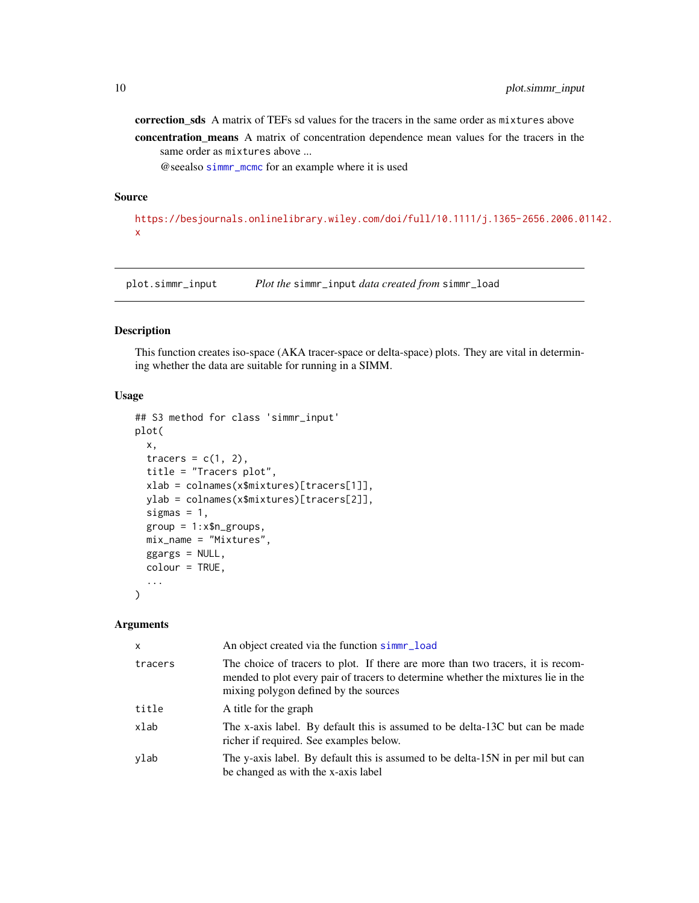<span id="page-9-0"></span>correction\_sds A matrix of TEFs sd values for the tracers in the same order as mixtures above concentration\_means A matrix of concentration dependence mean values for the tracers in the same order as mixtures above ...

@seealso [simmr\\_mcmc](#page-24-1) for an example where it is used

#### Source

[https://besjournals.onlinelibrary.wiley.com/doi/full/10.1111/j.1365-2656.2006.01](https://besjournals.onlinelibrary.wiley.com/doi/full/10.1111/j.1365-2656.2006.01142.x)142. [x](https://besjournals.onlinelibrary.wiley.com/doi/full/10.1111/j.1365-2656.2006.01142.x)

<span id="page-9-1"></span>plot.simmr\_input *Plot the* simmr\_input *data created from* simmr\_load

#### Description

This function creates iso-space (AKA tracer-space or delta-space) plots. They are vital in determining whether the data are suitable for running in a SIMM.

#### Usage

```
## S3 method for class 'simmr_input'
plot(
  x,
  tracers = c(1, 2),
  title = "Tracers plot",
  xlab = colnames(x$mixtures)[tracers[1]],
  ylab = colnames(x$mixtures)[tracers[2]],
  sigmas = 1,
  group = 1:x$n_grows,mix_name = "Mixtures",
  ggargs = NULL,
  colour = TRUE,
  ...
\mathcal{L}
```
#### Arguments

| $\boldsymbol{\mathsf{x}}$ | An object created via the function simme-load                                                                                                                                                                 |
|---------------------------|---------------------------------------------------------------------------------------------------------------------------------------------------------------------------------------------------------------|
| tracers                   | The choice of tracers to plot. If there are more than two tracers, it is recom-<br>mended to plot every pair of tracers to determine whether the mixtures lie in the<br>mixing polygon defined by the sources |
| title                     | A title for the graph                                                                                                                                                                                         |
| xlab                      | The x-axis label. By default this is assumed to be delta-13C but can be made<br>richer if required. See examples below.                                                                                       |
| ylab                      | The y-axis label. By default this is assumed to be delta-15N in per mil but can<br>be changed as with the x-axis label                                                                                        |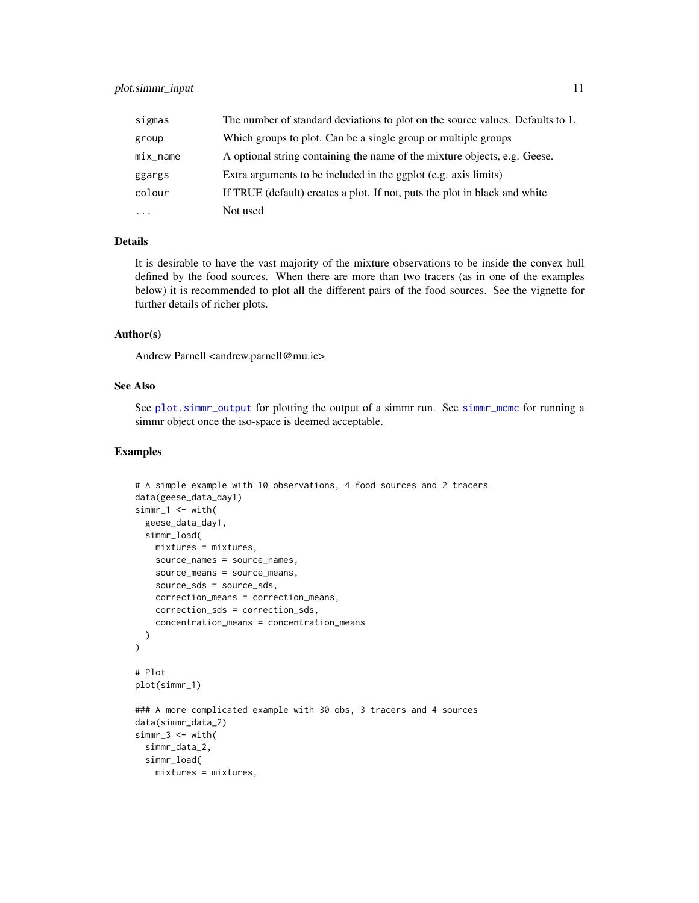<span id="page-10-0"></span>

| sigmas     | The number of standard deviations to plot on the source values. Defaults to 1. |
|------------|--------------------------------------------------------------------------------|
| group      | Which groups to plot. Can be a single group or multiple groups                 |
| $mix_name$ | A optional string containing the name of the mixture objects, e.g. Geese.      |
| ggargs     | Extra arguments to be included in the ggplot (e.g. axis limits)                |
| colour     | If TRUE (default) creates a plot. If not, puts the plot in black and white     |
| $\ddots$ . | Not used                                                                       |

#### Details

It is desirable to have the vast majority of the mixture observations to be inside the convex hull defined by the food sources. When there are more than two tracers (as in one of the examples below) it is recommended to plot all the different pairs of the food sources. See the vignette for further details of richer plots.

#### Author(s)

Andrew Parnell <andrew.parnell@mu.ie>

#### See Also

See [plot.simmr\\_output](#page-11-1) for plotting the output of a simmr run. See [simmr\\_mcmc](#page-24-1) for running a simmr object once the iso-space is deemed acceptable.

```
# A simple example with 10 observations, 4 food sources and 2 tracers
data(geese_data_day1)
simr_1 < - with(
  geese_data_day1,
  simmr_load(
   mixtures = mixtures,
    source_names = source_names,
    source_means = source_means,
   source_sds = source_sds,
   correction_means = correction_means,
   correction_sds = correction_sds,
    concentration_means = concentration_means
  )
\lambda# Plot
plot(simmr_1)
### A more complicated example with 30 obs, 3 tracers and 4 sources
data(simmr_data_2)
simm-3 < - with(
  simmr_data_2,
  simmr_load(
   mixtures = mixtures,
```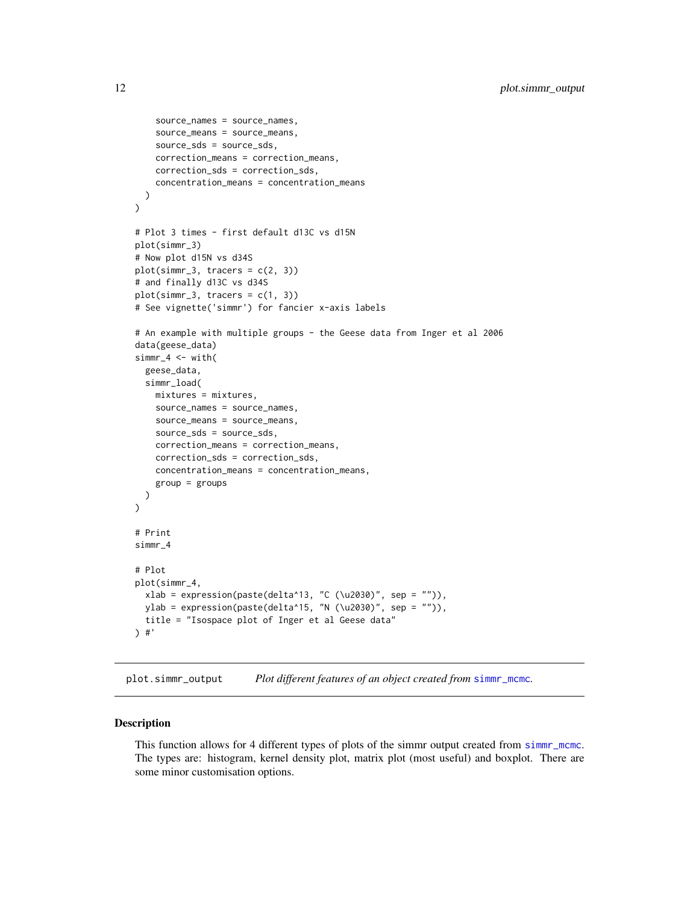```
source_names = source_names,
    source_means = source_means,
   source_sds = source_sds,
   correction_means = correction_means,
   correction_sds = correction_sds,
   concentration_means = concentration_means
 )
)
# Plot 3 times - first default d13C vs d15N
plot(simmr_3)
# Now plot d15N vs d34S
plot(simm-3, traces = c(2, 3))# and finally d13C vs d34S
plot(simm-3, traces = c(1, 3))# See vignette('simmr') for fancier x-axis labels
# An example with multiple groups - the Geese data from Inger et al 2006
data(geese_data)
simr_4 < - with(
 geese_data,
 simmr_load(
   mixtures = mixtures,
   source_names = source_names,
   source_means = source_means,
   source_sds = source_sds,
   correction_means = correction_means,
   correction_sds = correction_sds,
   concentration_means = concentration_means,
   group = groups
 )
)
# Print
simmr_4
# Plot
plot(simmr_4,
  xlab = expression(paste(delta^13, "C (\u2030)", sep = "")),
  ylab = expression(paste(delta^15, "N (\u2030)", sep = "")),
 title = "Isospace plot of Inger et al Geese data"
) #'
```
<span id="page-11-1"></span>plot.simmr\_output *Plot different features of an object created from* [simmr\\_mcmc](#page-24-1)*.*

#### Description

This function allows for 4 different types of plots of the simmr output created from [simmr\\_mcmc](#page-24-1). The types are: histogram, kernel density plot, matrix plot (most useful) and boxplot. There are some minor customisation options.

<span id="page-11-0"></span>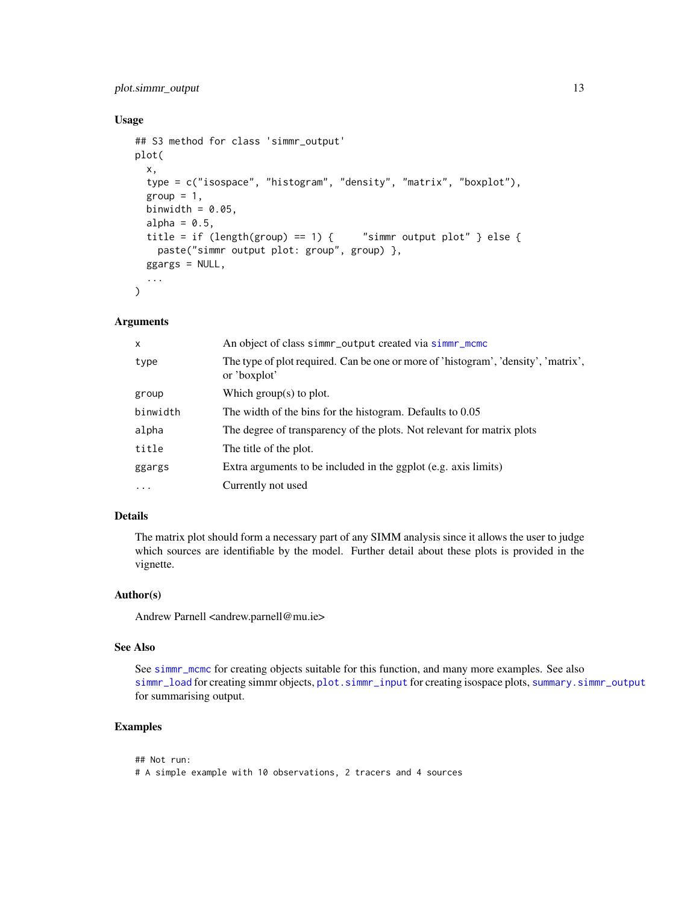#### <span id="page-12-0"></span>plot.simmr\_output 13

#### Usage

```
## S3 method for class 'simmr_output'
plot(
  x,
  type = c("isospace", "histogram", "density", "matrix", "boxplot"),
  group = 1,
 binwidth = 0.05,
  alpha = 0.5,
  title = if (length(group) == 1) {  "simmr output plot" } else {
    paste("simmr output plot: group", group) },
  ggargs = NULL,
  ...
\mathcal{L}
```
#### Arguments

| $\times$ | An object of class simmr_output created via simmr_mcmc                                             |
|----------|----------------------------------------------------------------------------------------------------|
| type     | The type of plot required. Can be one or more of 'histogram', 'density', 'matrix',<br>or 'boxplot' |
| group    | Which group(s) to plot.                                                                            |
| binwidth | The width of the bins for the histogram. Defaults to 0.05                                          |
| alpha    | The degree of transparency of the plots. Not relevant for matrix plots                             |
| title    | The title of the plot.                                                                             |
| ggargs   | Extra arguments to be included in the ggplot (e.g. axis limits)                                    |
| $\cdot$  | Currently not used                                                                                 |

### Details

The matrix plot should form a necessary part of any SIMM analysis since it allows the user to judge which sources are identifiable by the model. Further detail about these plots is provided in the vignette.

#### Author(s)

Andrew Parnell <andrew.parnell@mu.ie>

#### See Also

See [simmr\\_mcmc](#page-24-1) for creating objects suitable for this function, and many more examples. See also [simmr\\_load](#page-21-1) for creating simmr objects, [plot.simmr\\_input](#page-9-1) for creating isospace plots, [summary.simmr\\_output](#page-33-1) for summarising output.

```
## Not run:
# A simple example with 10 observations, 2 tracers and 4 sources
```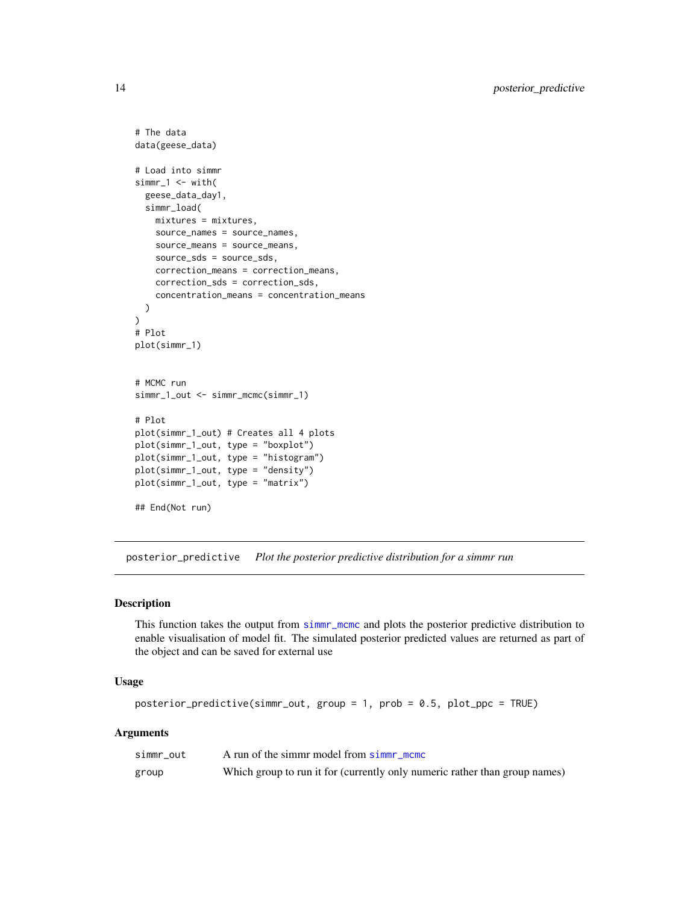```
# The data
data(geese_data)
# Load into simmr
simr_1 < - with(
  geese_data_day1,
  simmr_load(
   mixtures = mixtures,
   source_names = source_names,
   source_means = source_means,
   source_sds = source_sds,
    correction_means = correction_means,
    correction_sds = correction_sds,
    concentration_means = concentration_means
  )
)
# Plot
plot(simmr_1)
# MCMC run
simmr_1_out <- simmr_mcmc(simmr_1)
# Plot
plot(simmr_1_out) # Creates all 4 plots
plot(simmr_1_out, type = "boxplot")
plot(simmr_1_out, type = "histogram")
plot(simmr_1_out, type = "density")
plot(simmr_1_out, type = "matrix")
## End(Not run)
```
<span id="page-13-1"></span>posterior\_predictive *Plot the posterior predictive distribution for a simmr run*

#### Description

This function takes the output from [simmr\\_mcmc](#page-24-1) and plots the posterior predictive distribution to enable visualisation of model fit. The simulated posterior predicted values are returned as part of the object and can be saved for external use

#### Usage

```
posterior_predictive(simmr_out, group = 1, prob = 0.5, plot_ppc = TRUE)
```
#### Arguments

| simmr out | A run of the simmr model from simmr mome                                   |
|-----------|----------------------------------------------------------------------------|
| group     | Which group to run it for (currently only numeric rather than group names) |

<span id="page-13-0"></span>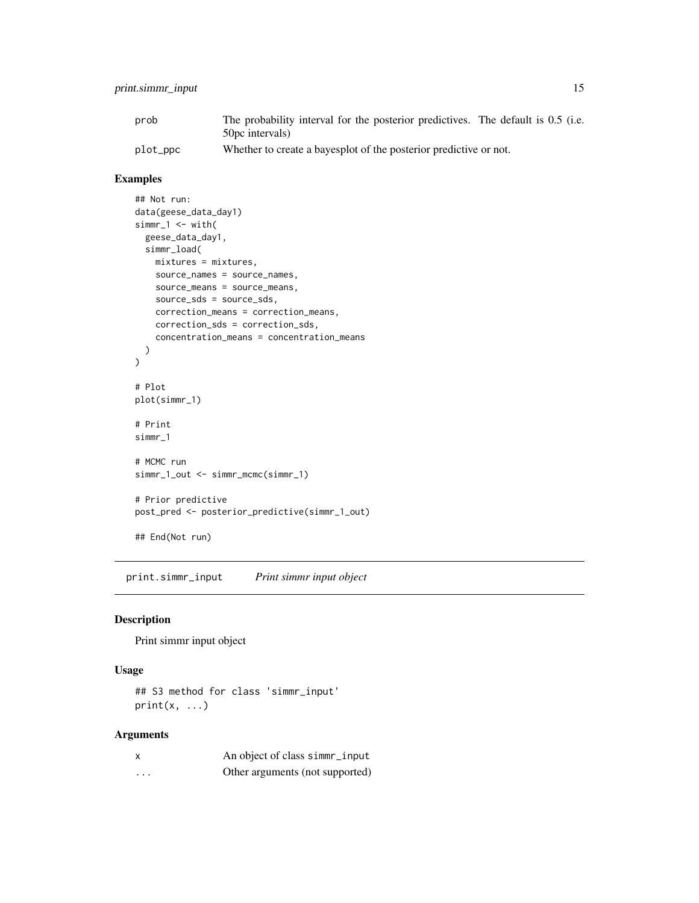#### <span id="page-14-0"></span>print.simmr\_input 15

| prob     | The probability interval for the posterior predictives. The default is 0.5 (i.e. |
|----------|----------------------------------------------------------------------------------|
|          | 50 pc intervals)                                                                 |
| plot_ppc | Whether to create a bayesplot of the posterior predictive or not.                |

#### Examples

```
## Not run:
data(geese_data_day1)
simm-1 <- with(
  geese_data_day1,
  simmr_load(
   mixtures = mixtures,
   source_names = source_names,
   source_means = source_means,
   source_sds = source_sds,
   correction_means = correction_means,
   correction_sds = correction_sds,
    concentration_means = concentration_means
 )
\mathcal{L}# Plot
plot(simmr_1)
# Print
simmr_1
# MCMC run
simmr_1_out <- simmr_mcmc(simmr_1)
# Prior predictive
post_pred <- posterior_predictive(simmr_1_out)
## End(Not run)
```
print.simmr\_input *Print simmr input object*

#### Description

Print simmr input object

#### Usage

## S3 method for class 'simmr\_input'  $print(x, \ldots)$ 

#### Arguments

|   | An object of class simmr_input  |
|---|---------------------------------|
| . | Other arguments (not supported) |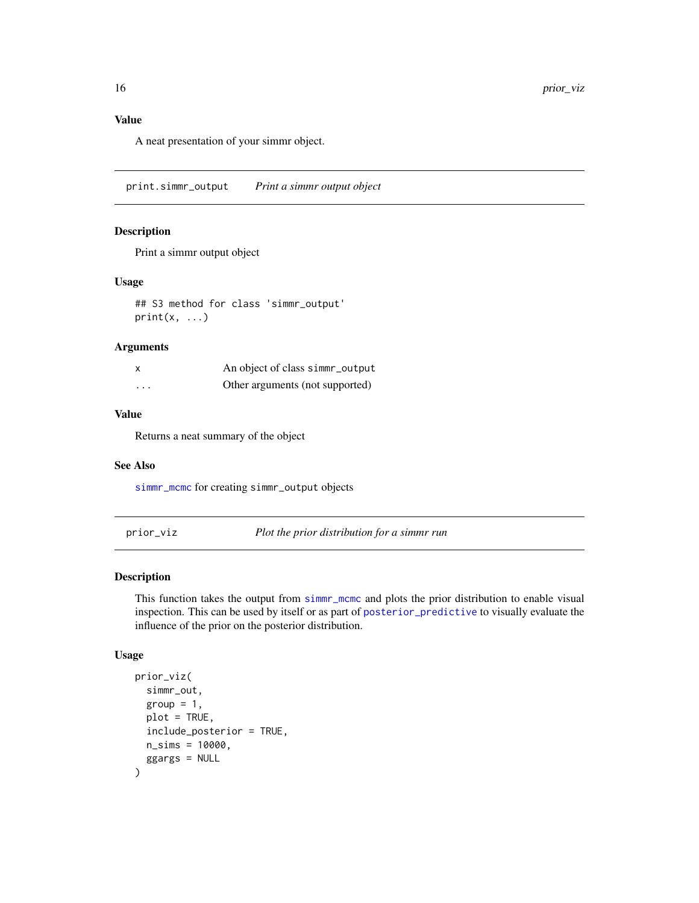<span id="page-15-0"></span>A neat presentation of your simmr object.

print.simmr\_output *Print a simmr output object*

#### Description

Print a simmr output object

#### Usage

## S3 method for class 'simmr\_output'  $print(x, \ldots)$ 

#### Arguments

|          | An object of class simmr_output |
|----------|---------------------------------|
| $\cdots$ | Other arguments (not supported) |

#### Value

Returns a neat summary of the object

#### See Also

[simmr\\_mcmc](#page-24-1) for creating simmr\_output objects

prior\_viz *Plot the prior distribution for a simmr run*

#### Description

This function takes the output from [simmr\\_mcmc](#page-24-1) and plots the prior distribution to enable visual inspection. This can be used by itself or as part of [posterior\\_predictive](#page-13-1) to visually evaluate the influence of the prior on the posterior distribution.

#### Usage

```
prior_viz(
  simmr_out,
  group = 1,
  plot = TRUE,
  include_posterior = TRUE,
  n_sims = 10000,
  ggargs = NULL
\mathcal{E}
```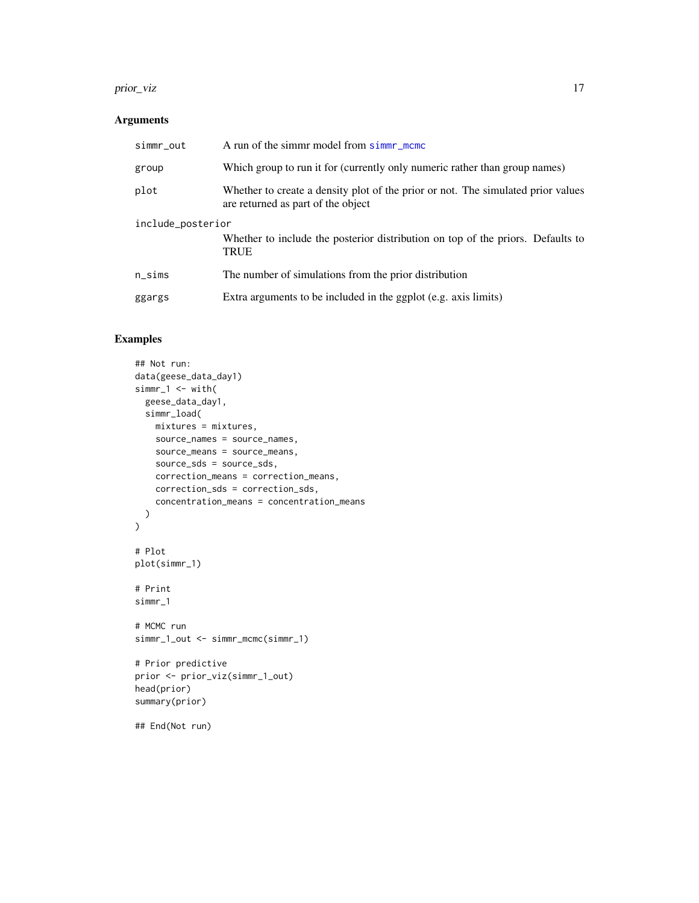#### prior\_viz the contract of the contract of the contract of the contract of the contract of the contract of the contract of the contract of the contract of the contract of the contract of the contract of the contract of the

#### Arguments

| simmr_out         | A run of the simmr model from simmr_mcmc                                                                               |
|-------------------|------------------------------------------------------------------------------------------------------------------------|
| group             | Which group to run it for (currently only numeric rather than group names)                                             |
| plot              | Whether to create a density plot of the prior or not. The simulated prior values<br>are returned as part of the object |
| include_posterior |                                                                                                                        |
|                   | Whether to include the posterior distribution on top of the priors. Defaults to<br><b>TRUE</b>                         |
| $n$ _sims         | The number of simulations from the prior distribution                                                                  |
| ggargs            | Extra arguments to be included in the ggplot (e.g. axis limits)                                                        |

```
## Not run:
data(geese_data_day1)
simm-1 <- with(
  geese_data_day1,
  simmr_load(
   mixtures = mixtures,
   source_names = source_names,
   source_means = source_means,
   source_sds = source_sds,
   correction_means = correction_means,
   correction_sds = correction_sds,
    concentration_means = concentration_means
 )
\mathcal{L}# Plot
plot(simmr_1)
# Print
simmr_1
# MCMC run
simmr_1_out <- simmr_mcmc(simmr_1)
# Prior predictive
prior <- prior_viz(simmr_1_out)
head(prior)
summary(prior)
## End(Not run)
```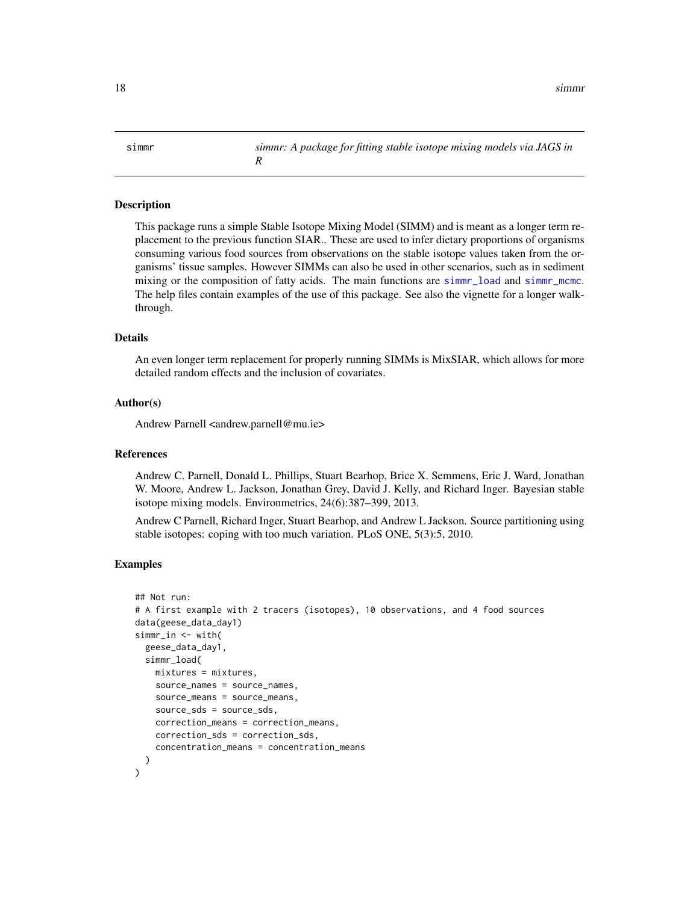<span id="page-17-0"></span>simmr *simmr: A package for fitting stable isotope mixing models via JAGS in R*

#### Description

This package runs a simple Stable Isotope Mixing Model (SIMM) and is meant as a longer term replacement to the previous function SIAR.. These are used to infer dietary proportions of organisms consuming various food sources from observations on the stable isotope values taken from the organisms' tissue samples. However SIMMs can also be used in other scenarios, such as in sediment mixing or the composition of fatty acids. The main functions are [simmr\\_load](#page-21-1) and [simmr\\_mcmc](#page-24-1). The help files contain examples of the use of this package. See also the vignette for a longer walkthrough.

#### Details

An even longer term replacement for properly running SIMMs is MixSIAR, which allows for more detailed random effects and the inclusion of covariates.

#### Author(s)

Andrew Parnell <andrew.parnell@mu.ie>

#### References

Andrew C. Parnell, Donald L. Phillips, Stuart Bearhop, Brice X. Semmens, Eric J. Ward, Jonathan W. Moore, Andrew L. Jackson, Jonathan Grey, David J. Kelly, and Richard Inger. Bayesian stable isotope mixing models. Environmetrics, 24(6):387–399, 2013.

Andrew C Parnell, Richard Inger, Stuart Bearhop, and Andrew L Jackson. Source partitioning using stable isotopes: coping with too much variation. PLoS ONE, 5(3):5, 2010.

```
## Not run:
# A first example with 2 tracers (isotopes), 10 observations, and 4 food sources
data(geese_data_day1)
simmr_in <- with(
 geese_data_day1,
 simmr_load(
   mixtures = mixtures,
    source_names = source_names,
    source_means = source_means,
    source_sds = source_sds,
    correction_means = correction_means,
    correction_sds = correction_sds,
    concentration_means = concentration_means
 )
)
```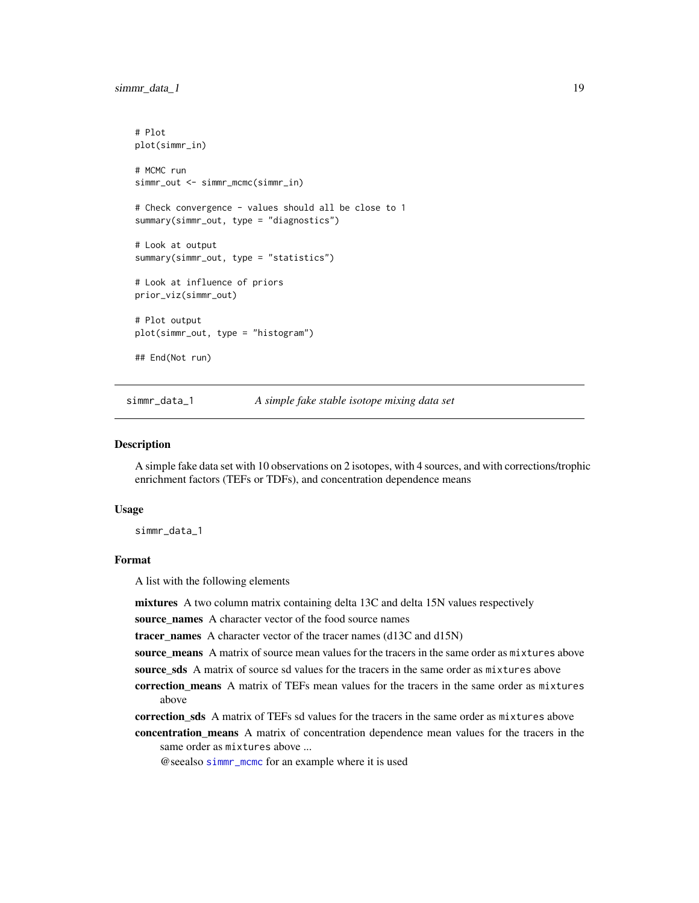```
# Plot
plot(simmr_in)
# MCMC run
simmr_out <- simmr_mcmc(simmr_in)
# Check convergence - values should all be close to 1
summary(simmr_out, type = "diagnostics")
# Look at output
summary(simmr_out, type = "statistics")
# Look at influence of priors
prior_viz(simmr_out)
# Plot output
plot(simmr_out, type = "histogram")
## End(Not run)
```
simmr\_data\_1 *A simple fake stable isotope mixing data set*

#### Description

A simple fake data set with 10 observations on 2 isotopes, with 4 sources, and with corrections/trophic enrichment factors (TEFs or TDFs), and concentration dependence means

#### Usage

simmr\_data\_1

#### Format

A list with the following elements

mixtures A two column matrix containing delta 13C and delta 15N values respectively

source\_names A character vector of the food source names

tracer\_names A character vector of the tracer names  $(d13C and d15N)$ 

source\_means A matrix of source mean values for the tracers in the same order as mixtures above source\_sds A matrix of source sd values for the tracers in the same order as mixtures above

correction means A matrix of TEFs mean values for the tracers in the same order as mixtures

above

- correction sds A matrix of TEFs sd values for the tracers in the same order as mixtures above
- concentration\_means A matrix of concentration dependence mean values for the tracers in the same order as mixtures above ...

@seealso [simmr\\_mcmc](#page-24-1) for an example where it is used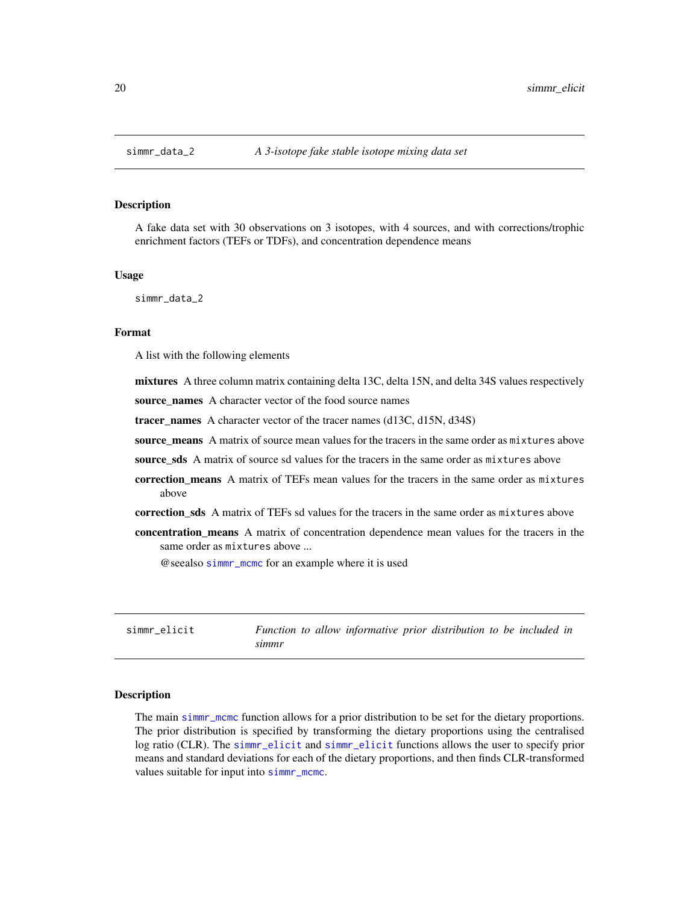<span id="page-19-0"></span>

#### Description

A fake data set with 30 observations on 3 isotopes, with 4 sources, and with corrections/trophic enrichment factors (TEFs or TDFs), and concentration dependence means

#### Usage

simmr\_data\_2

#### Format

A list with the following elements

mixtures A three column matrix containing delta 13C, delta 15N, and delta 34S values respectively

source\_names A character vector of the food source names

tracer\_names A character vector of the tracer names (d13C, d15N, d34S)

source means A matrix of source mean values for the tracers in the same order as mixtures above

source sds A matrix of source sd values for the tracers in the same order as mixtures above

- correction\_means A matrix of TEFs mean values for the tracers in the same order as mixtures above
- correction\_sds A matrix of TEFs sd values for the tracers in the same order as mixtures above
- concentration\_means A matrix of concentration dependence mean values for the tracers in the same order as mixtures above ...

@seealso [simmr\\_mcmc](#page-24-1) for an example where it is used

<span id="page-19-1"></span>simmr\_elicit *Function to allow informative prior distribution to be included in simmr*

#### Description

The main [simmr\\_mcmc](#page-24-1) function allows for a prior distribution to be set for the dietary proportions. The prior distribution is specified by transforming the dietary proportions using the centralised log ratio (CLR). The [simmr\\_elicit](#page-19-1) and [simmr\\_elicit](#page-19-1) functions allows the user to specify prior means and standard deviations for each of the dietary proportions, and then finds CLR-transformed values suitable for input into [simmr\\_mcmc](#page-24-1).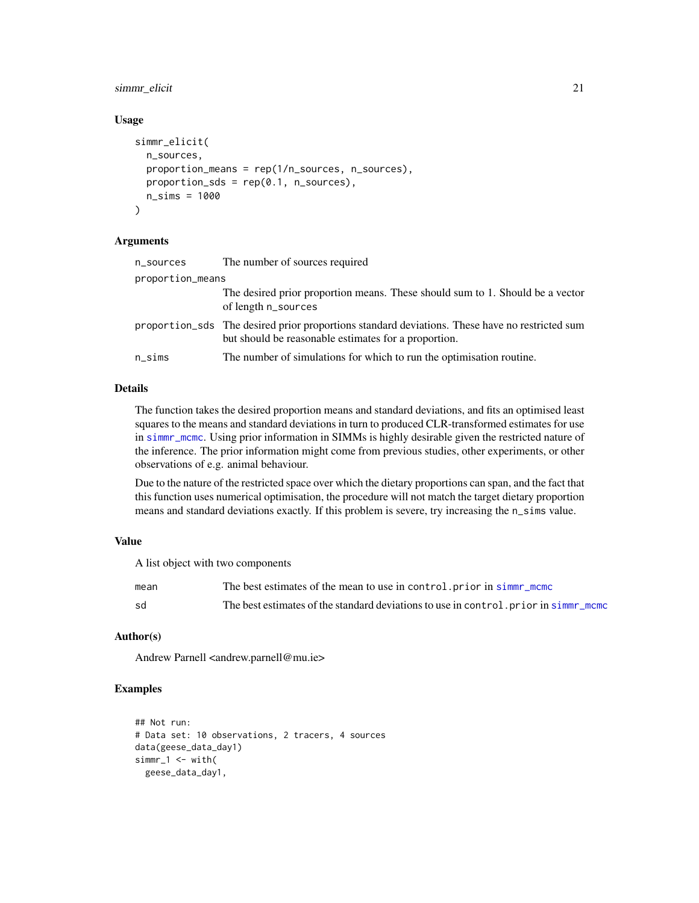#### <span id="page-20-0"></span>simmr\_elicit 21

#### Usage

```
simmr_elicit(
  n_sources,
  proportion_means = rep(1/n_sources, n_sources),
  proportion_sds = rep(0.1, n\_sources),
  n_sims = 1000
\lambda
```
#### Arguments

| n_sources        | The number of sources required                                                                                                                         |
|------------------|--------------------------------------------------------------------------------------------------------------------------------------------------------|
| proportion_means |                                                                                                                                                        |
|                  | The desired prior proportion means. These should sum to 1. Should be a vector<br>of length n_sources                                                   |
|                  | proportion_sds The desired prior proportions standard deviations. These have no restricted sum<br>but should be reasonable estimates for a proportion. |
| $n$ _sims        | The number of simulations for which to run the optimisation routine.                                                                                   |

#### Details

The function takes the desired proportion means and standard deviations, and fits an optimised least squares to the means and standard deviations in turn to produced CLR-transformed estimates for use in [simmr\\_mcmc](#page-24-1). Using prior information in SIMMs is highly desirable given the restricted nature of the inference. The prior information might come from previous studies, other experiments, or other observations of e.g. animal behaviour.

Due to the nature of the restricted space over which the dietary proportions can span, and the fact that this function uses numerical optimisation, the procedure will not match the target dietary proportion means and standard deviations exactly. If this problem is severe, try increasing the n\_sims value.

#### Value

A list object with two components

| mean | The best estimates of the mean to use in control, prior in simm mcmc                 |
|------|--------------------------------------------------------------------------------------|
| sd   | The best estimates of the standard deviations to use in control, prior in simm memor |

#### Author(s)

Andrew Parnell <andrew.parnell@mu.ie>

```
## Not run:
# Data set: 10 observations, 2 tracers, 4 sources
data(geese_data_day1)
simr_1 < - with(
 geese_data_day1,
```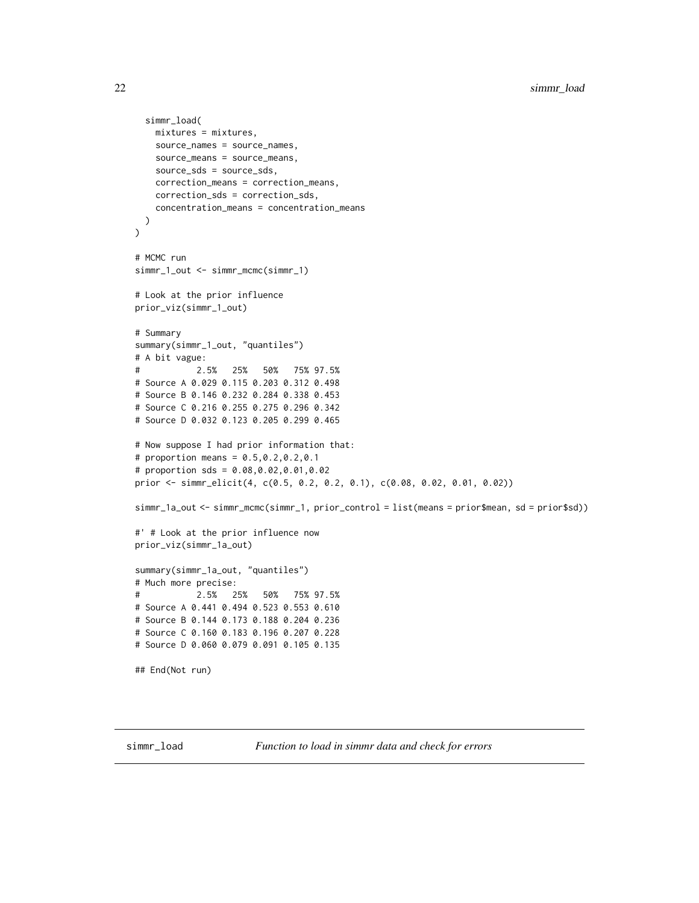```
simmr_load(
   mixtures = mixtures,
    source_names = source_names,
    source_means = source_means,
    source_sds = source_sds,
   correction_means = correction_means,
    correction_sds = correction_sds,
    concentration_means = concentration_means
  )
\mathcal{L}# MCMC run
simmr_1_out <- simmr_mcmc(simmr_1)
# Look at the prior influence
prior_viz(simmr_1_out)
# Summary
summary(simmr_1_out, "quantiles")
# A bit vague:
# 2.5% 25% 50% 75% 97.5%
# Source A 0.029 0.115 0.203 0.312 0.498
# Source B 0.146 0.232 0.284 0.338 0.453
# Source C 0.216 0.255 0.275 0.296 0.342
# Source D 0.032 0.123 0.205 0.299 0.465
# Now suppose I had prior information that:
# proportion means = 0.5,0.2,0.2,0.1
# proportion sds = 0.08,0.02,0.01,0.02
prior <- simmr_elicit(4, c(0.5, 0.2, 0.2, 0.1), c(0.08, 0.02, 0.01, 0.02))
simmr_1a_out <- simmr_mcmc(simmr_1, prior_control = list(means = prior$mean, sd = prior$sd))
#' # Look at the prior influence now
prior_viz(simmr_1a_out)
summary(simmr_1a_out, "quantiles")
# Much more precise:
# 2.5% 25% 50% 75% 97.5%
# Source A 0.441 0.494 0.523 0.553 0.610
# Source B 0.144 0.173 0.188 0.204 0.236
# Source C 0.160 0.183 0.196 0.207 0.228
# Source D 0.060 0.079 0.091 0.105 0.135
## End(Not run)
```
<span id="page-21-1"></span>simmr\_load *Function to load in simmr data and check for errors*

<span id="page-21-0"></span>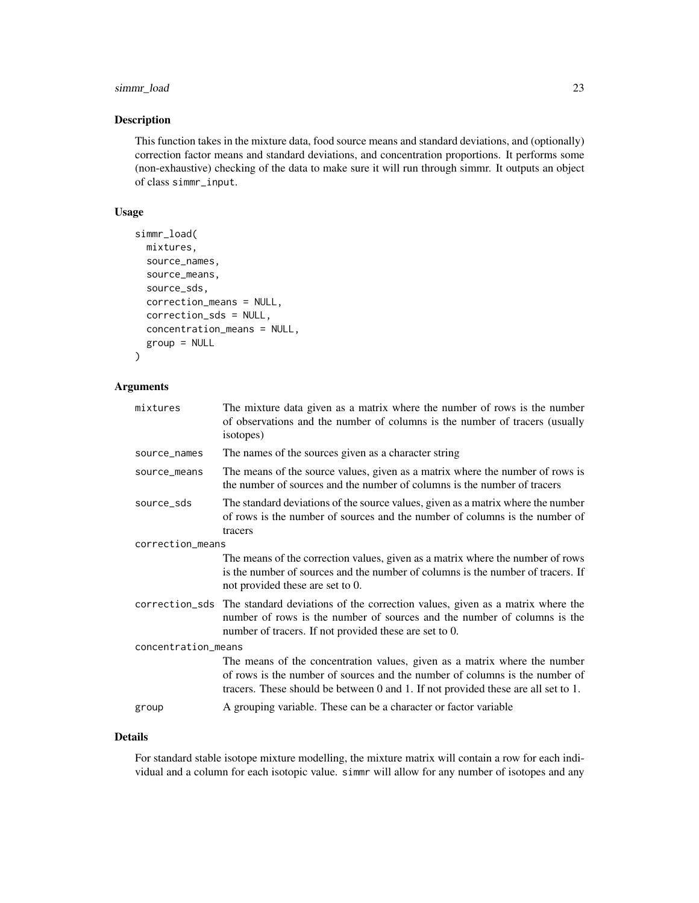#### simmr\_load 23

#### Description

This function takes in the mixture data, food source means and standard deviations, and (optionally) correction factor means and standard deviations, and concentration proportions. It performs some (non-exhaustive) checking of the data to make sure it will run through simmr. It outputs an object of class simmr\_input.

#### Usage

```
simmr_load(
 mixtures,
  source_names,
  source_means,
  source_sds,
  correction_means = NULL,
  correction_sds = NULL,
 concentration_means = NULL,
  group = NULL
)
```
#### Arguments

| mixtures            | The mixture data given as a matrix where the number of rows is the number<br>of observations and the number of columns is the number of tracers (usually<br>isotopes)                                                                         |
|---------------------|-----------------------------------------------------------------------------------------------------------------------------------------------------------------------------------------------------------------------------------------------|
| source_names        | The names of the sources given as a character string                                                                                                                                                                                          |
| source_means        | The means of the source values, given as a matrix where the number of rows is<br>the number of sources and the number of columns is the number of tracers                                                                                     |
| source_sds          | The standard deviations of the source values, given as a matrix where the number<br>of rows is the number of sources and the number of columns is the number of<br>tracers                                                                    |
| correction_means    |                                                                                                                                                                                                                                               |
|                     | The means of the correction values, given as a matrix where the number of rows<br>is the number of sources and the number of columns is the number of tracers. If<br>not provided these are set to 0.                                         |
|                     | correction_sds The standard deviations of the correction values, given as a matrix where the<br>number of rows is the number of sources and the number of columns is the<br>number of tracers. If not provided these are set to 0.            |
| concentration_means |                                                                                                                                                                                                                                               |
|                     | The means of the concentration values, given as a matrix where the number<br>of rows is the number of sources and the number of columns is the number of<br>tracers. These should be between 0 and 1. If not provided these are all set to 1. |
| group               | A grouping variable. These can be a character or factor variable                                                                                                                                                                              |

#### Details

For standard stable isotope mixture modelling, the mixture matrix will contain a row for each individual and a column for each isotopic value. simmr will allow for any number of isotopes and any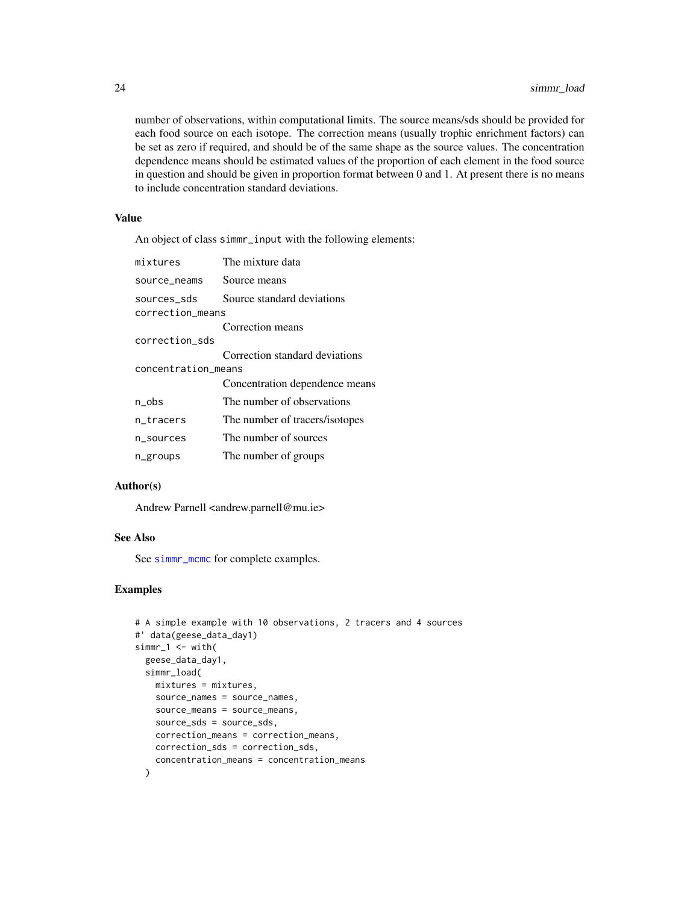<span id="page-23-0"></span>number of observations, within computational limits. The source means/sds should be provided for each food source on each isotope. The correction means (usually trophic enrichment factors) can be set as zero if required, and should be of the same shape as the source values. The concentration dependence means should be estimated values of the proportion of each element in the food source in question and should be given in proportion format between 0 and 1. At present there is no means to include concentration standard deviations.

#### Value

An object of class simmr\_input with the following elements:

| mixtures                        | The mixture data               |
|---------------------------------|--------------------------------|
| source_neams                    | Source means                   |
| sources_sds<br>correction_means | Source standard deviations     |
|                                 | Correction means               |
| correction_sds                  |                                |
|                                 | Correction standard deviations |
| concentration_means             |                                |
|                                 | Concentration dependence means |
| $n_{obs}$                       | The number of observations     |
| n_tracers                       | The number of tracers/isotopes |
| n_sources                       | The number of sources          |
| n_groups                        | The number of groups           |

#### Author(s)

Andrew Parnell <andrew.parnell@mu.ie>

#### See Also

See [simmr\\_mcmc](#page-24-1) for complete examples.

```
# A simple example with 10 observations, 2 tracers and 4 sources
#' data(geese_data_day1)
simr_1 < - with(
  geese_data_day1,
  simmr_load(
   mixtures = mixtures,
   source_names = source_names,
    source_means = source_means,
    source_sds = source_sds,
    correction_means = correction_means,
   correction_sds = correction_sds,
    concentration_means = concentration_means
  )
```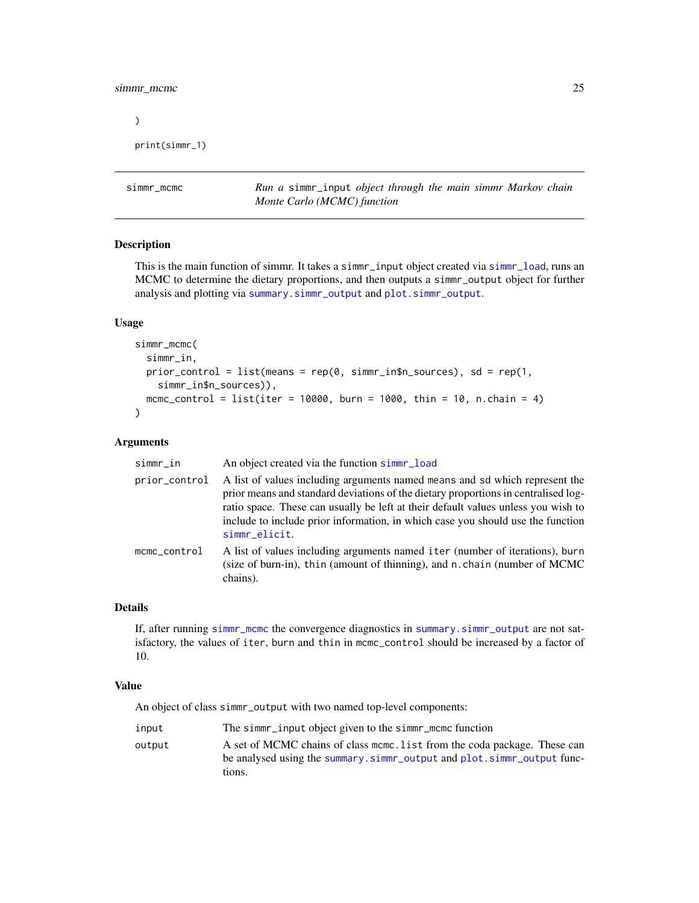#### <span id="page-24-0"></span>simmr\_mcmc 25

 $\mathcal{L}$ 

```
print(simmr_1)
```
<span id="page-24-1"></span>simmr\_mcmc *Run a* simmr\_input *object through the main simmr Markov chain Monte Carlo (MCMC) function*

#### Description

This is the main function of simmr. It takes a simmr\_input object created via [simmr\\_load](#page-21-1), runs an MCMC to determine the dietary proportions, and then outputs a simmr\_output object for further analysis and plotting via [summary.simmr\\_output](#page-33-1) and [plot.simmr\\_output](#page-11-1).

#### Usage

```
simmr_mcmc(
 simmr_in,
 prior_control = list(means = rep(0, simmr_in$n_sources), sd = rep(1,simmr_in$n_sources)),
 mcmc_control = list(iter = 10000, burn = 1000, thin = 10, n.chain = 4)
)
```
#### Arguments

| simmr_in      | An object created via the function simme-load                                                                                                                                                                                                                                                                                                              |
|---------------|------------------------------------------------------------------------------------------------------------------------------------------------------------------------------------------------------------------------------------------------------------------------------------------------------------------------------------------------------------|
| prior_control | A list of values including arguments named means and sd which represent the<br>prior means and standard deviations of the dietary proportions in centralised log-<br>ratio space. These can usually be left at their default values unless you wish to<br>include to include prior information, in which case you should use the function<br>simmr_elicit. |
| mcmc_control  | A list of values including arguments named iter (number of iterations), burn<br>(size of burn-in), thin (amount of thinning), and n. chain (number of MCMC)<br>chains).                                                                                                                                                                                    |

#### Details

If, after running [simmr\\_mcmc](#page-24-1) the convergence diagnostics in [summary.simmr\\_output](#page-33-1) are not satisfactory, the values of iter, burn and thin in mcmc\_control should be increased by a factor of 10.

#### Value

An object of class simmr\_output with two named top-level components:

| input  | The simme-input object given to the simme-mome function                   |
|--------|---------------------------------------------------------------------------|
| output | A set of MCMC chains of class mome. List from the coda package. These can |
|        | be analysed using the summary.simmr_output and plot.simmr_output func-    |
|        | tions.                                                                    |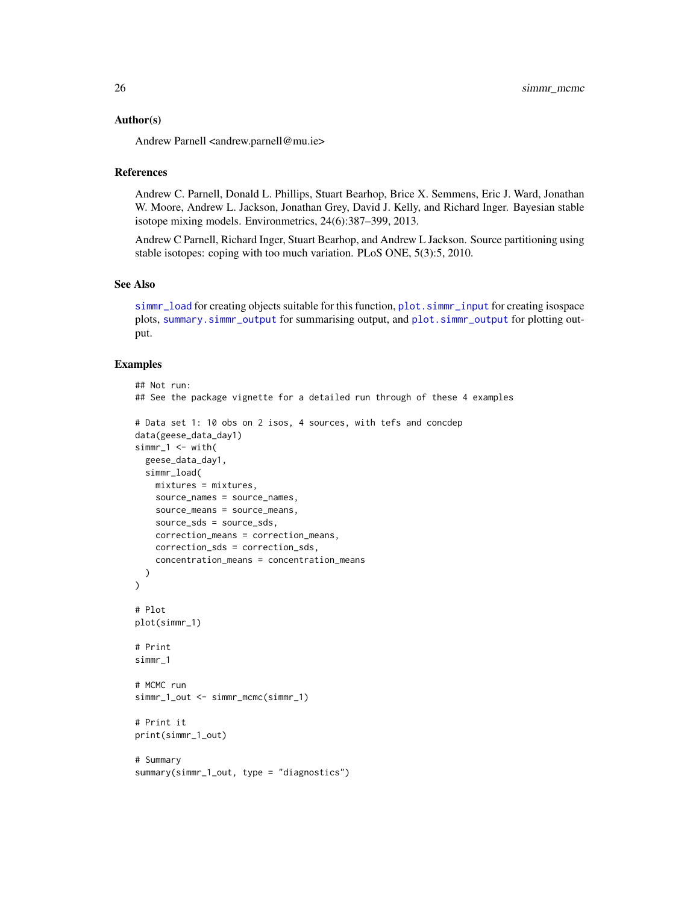#### <span id="page-25-0"></span>Author(s)

Andrew Parnell <andrew.parnell@mu.ie>

#### References

Andrew C. Parnell, Donald L. Phillips, Stuart Bearhop, Brice X. Semmens, Eric J. Ward, Jonathan W. Moore, Andrew L. Jackson, Jonathan Grey, David J. Kelly, and Richard Inger. Bayesian stable isotope mixing models. Environmetrics, 24(6):387–399, 2013.

Andrew C Parnell, Richard Inger, Stuart Bearhop, and Andrew L Jackson. Source partitioning using stable isotopes: coping with too much variation. PLoS ONE, 5(3):5, 2010.

#### See Also

[simmr\\_load](#page-21-1) for creating objects suitable for this function, [plot.simmr\\_input](#page-9-1) for creating isospace plots, [summary.simmr\\_output](#page-33-1) for summarising output, and [plot.simmr\\_output](#page-11-1) for plotting output.

```
## Not run:
## See the package vignette for a detailed run through of these 4 examples
# Data set 1: 10 obs on 2 isos, 4 sources, with tefs and concdep
data(geese_data_day1)
simr_1 < - with(
 geese_data_day1,
  simmr_load(
   mixtures = mixtures,
   source_names = source_names,
   source_means = source_means,
    source_sds = source_sds,
   correction_means = correction_means,
    correction_sds = correction_sds,
    concentration_means = concentration_means
  )
)
# Plot
plot(simmr_1)
# Print
simmr_1
# MCMC run
simmr_1_out <- simmr_mcmc(simmr_1)
# Print it
print(simmr_1_out)
# Summary
summary(simmr_1_out, type = "diagnostics")
```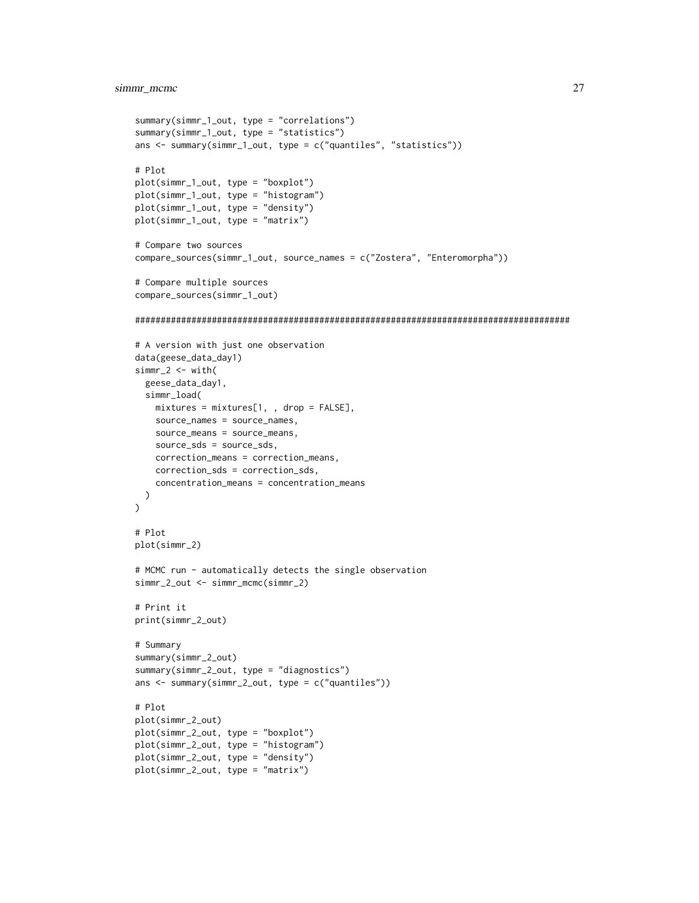#### simmr\_mcmc 27

```
summary(simmr_1_out, type = "correlations")
summary(simmr_1_out, type = "statistics")
ans <- summary(simmr_1_out, type = c("quantiles", "statistics"))
# Plot
plot(simmr_1_out, type = "boxplot")
plot(simmr_1_out, type = "histogram")
plot(simmr_1_out, type = "density")
plot(simmr_1_out, type = "matrix")
# Compare two sources
compare_sources(simmr_1_out, source_names = c("Zostera", "Enteromorpha"))
# Compare multiple sources
compare_sources(simmr_1_out)
#####################################################################################
# A version with just one observation
data(geese_data_day1)
simr_2 < - with(
  geese_data_day1,
  simmr_load(
   mixtures = mixtures[1, , drop = FALSE],
    source_names = source_names,
    source_means = source_means,
    source_sds = source_sds,
   correction_means = correction_means,
   correction_sds = correction_sds,
   concentration_means = concentration_means
 )
\lambda# Plot
plot(simmr_2)
# MCMC run - automatically detects the single observation
simmr_2_out <- simmr_mcmc(simmr_2)
# Print it
print(simmr_2_out)
# Summary
summary(simmr_2_out)
summary(simmr_2_out, type = "diagnostics")
ans <- summary(simmr_2_out, type = c("quantiles"))
# Plot
plot(simmr_2_out)
plot(simmr_2_out, type = "boxplot")
plot(simmr_2_out, type = "histogram")
plot(simmr_2_out, type = "density")
plot(simmr_2_out, type = "matrix")
```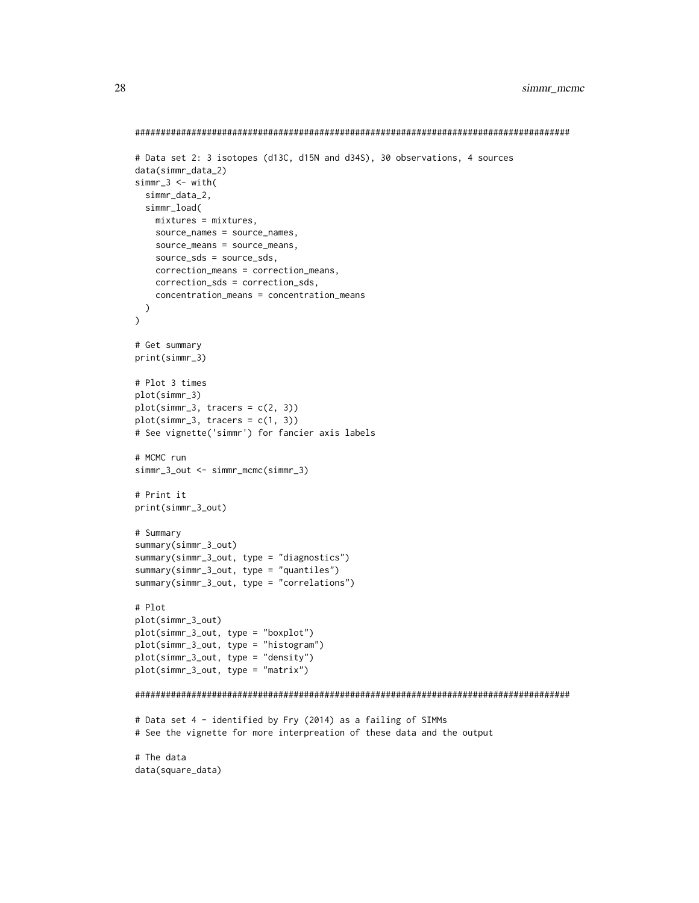```
#####################################################################################
# Data set 2: 3 isotopes (d13C, d15N and d34S), 30 observations, 4 sources
data(simmr_data_2)
simm-3 < - with(
  simmr_data_2,
  simmr_load(
   mixtures = mixtures,
   source_names = source_names,
    source_means = source_means,
    source_sds = source_sds,
    correction_means = correction_means,
    correction_sds = correction_sds,
   concentration_means = concentration_means
 )
\mathcal{L}# Get summary
print(simmr_3)
# Plot 3 times
plot(simmr_3)
plot(simmr_3, tracers = c(2, 3))
plot(simmr_3, tracers = c(1, 3))
# See vignette('simmr') for fancier axis labels
# MCMC run
simmr_3_out <- simmr_mcmc(simmr_3)
# Print it
print(simmr_3_out)
# Summary
summary(simmr_3_out)
summary(simmr_3_out, type = "diagnostics")
summary(simmr_3_out, type = "quantiles")
summary(simmr_3_out, type = "correlations")
# Plot
plot(simmr_3_out)
plot(simmr_3_out, type = "boxplot")
plot(simmr_3_out, type = "histogram")
plot(simmr_3_out, type = "density")
plot(simmr_3_out, type = "matrix")
#####################################################################################
# Data set 4 - identified by Fry (2014) as a failing of SIMMs
# See the vignette for more interpreation of these data and the output
# The data
data(square_data)
```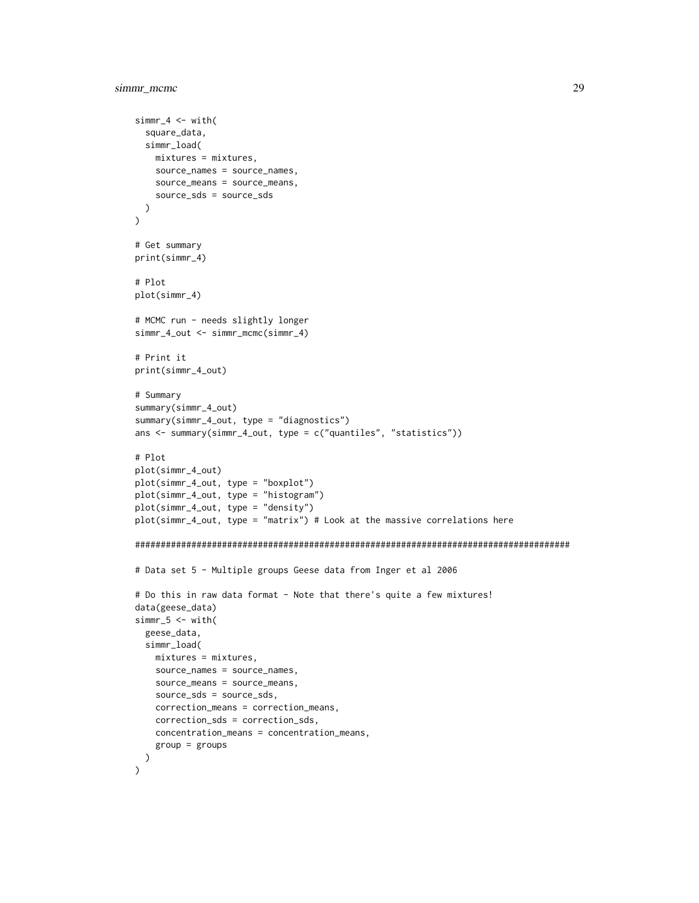```
simr_4 < - with(
  square_data,
 simmr_load(
   mixtures = mixtures,
   source_names = source_names,
   source_means = source_means,
   source_sds = source_sds
 )
\lambda# Get summary
print(simmr_4)
# Plot
plot(simmr_4)
# MCMC run - needs slightly longer
simmr_4_out <- simmr_mcmc(simmr_4)
# Print it
print(simmr_4_out)
# Summary
summary(simmr_4_out)
summary(simmr_4_out, type = "diagnostics")
ans <- summary(simmr_4_out, type = c("quantiles", "statistics"))
# Plot
plot(simmr_4_out)
plot(simmr_4_out, type = "boxplot")
plot(simmr_4_out, type = "histogram")
plot(simmr_4_out, type = "density")
plot(simmr_4_out, type = "matrix") # Look at the massive correlations here
#####################################################################################
# Data set 5 - Multiple groups Geese data from Inger et al 2006
# Do this in raw data format - Note that there's quite a few mixtures!
data(geese_data)
simm-5 < - with(
  geese_data,
  simmr_load(
   mixtures = mixtures,
   source_names = source_names,
   source_means = source_means,
   source_sds = source_sds,
   correction_means = correction_means,
   correction_sds = correction_sds,
   concentration_means = concentration_means,
    group = groups
 )
\mathcal{L}
```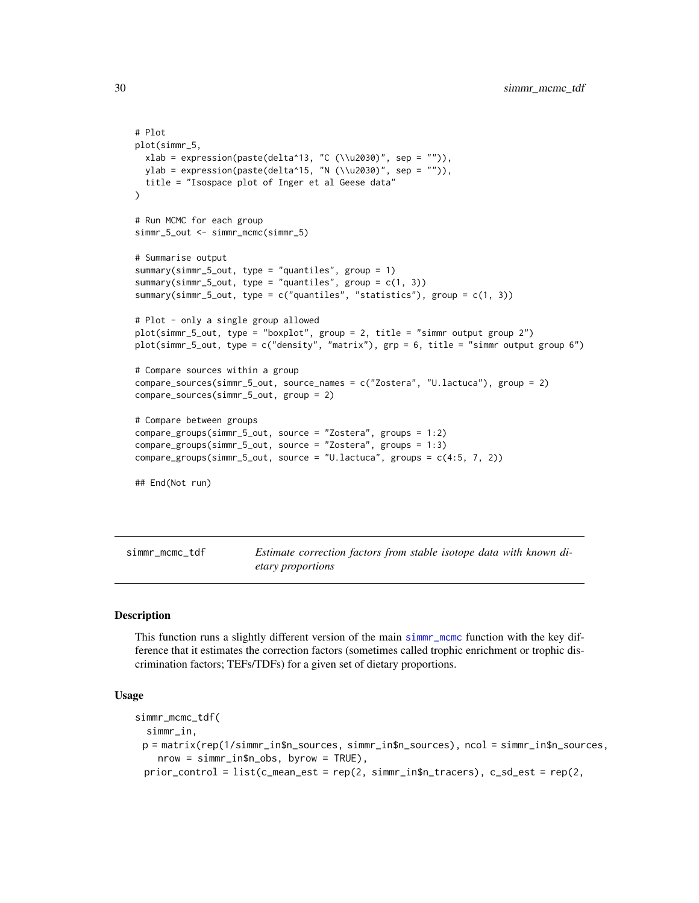```
# Plot
plot(simmr_5,
 xlab = expression(paste(delta^13, "C (\lceil u2030\rceil", sep = "")),
 ylab = expression(paste(delta^15, "N (\\u2030)", sep = "")),
 title = "Isospace plot of Inger et al Geese data"
)
# Run MCMC for each group
simmr_5_out <- simmr_mcmc(simmr_5)
# Summarise output
summary(simmr_5_out, type = "quantiles", group = 1)
summary(simmr_5_out, type = "quantiles", group = c(1, 3))
summary(simmr_5_out, type = c("quantiles", "statistics"), group = c(1, 3))
# Plot - only a single group allowed
plot(simmr_5_out, type = "boxplot", group = 2, title = "simmr output group 2")
plot(simmr_5_out, type = c("density", "matrix"), grp = 6, title = "simmr output group 6")
# Compare sources within a group
compare_sources(simmr_5_out, source_names = c("Zostera", "U.lactuca"), group = 2)
compare_sources(simmr_5_out, group = 2)
# Compare between groups
compare_groups(simmr_5_out, source = "Zostera", groups = 1:2)
compare_groups(simmr_5_out, source = "Zostera", groups = 1:3)
compare_groups(simmr_5_out, source = "U.lactuca", groups = c(4:5, 7, 2))
## End(Not run)
```
<span id="page-29-1"></span>simmr\_mcmc\_tdf *Estimate correction factors from stable isotope data with known dietary proportions*

#### Description

This function runs a slightly different version of the main [simmr\\_mcmc](#page-24-1) function with the key difference that it estimates the correction factors (sometimes called trophic enrichment or trophic discrimination factors; TEFs/TDFs) for a given set of dietary proportions.

#### Usage

```
simmr_mcmc_tdf(
  simmr_in,
 p = matrix(rep(1/simmr_in$n_sources, simmr_in$n_sources), ncol = simmr_in$n_sources,
    nrow = simmr_in$n_obs, byrow = TRUE),
 prior\_control = list(c\_mean\_est = rep(2, simmr_in$n\_tracers), c\_sd\_est = rep(2,
```
<span id="page-29-0"></span>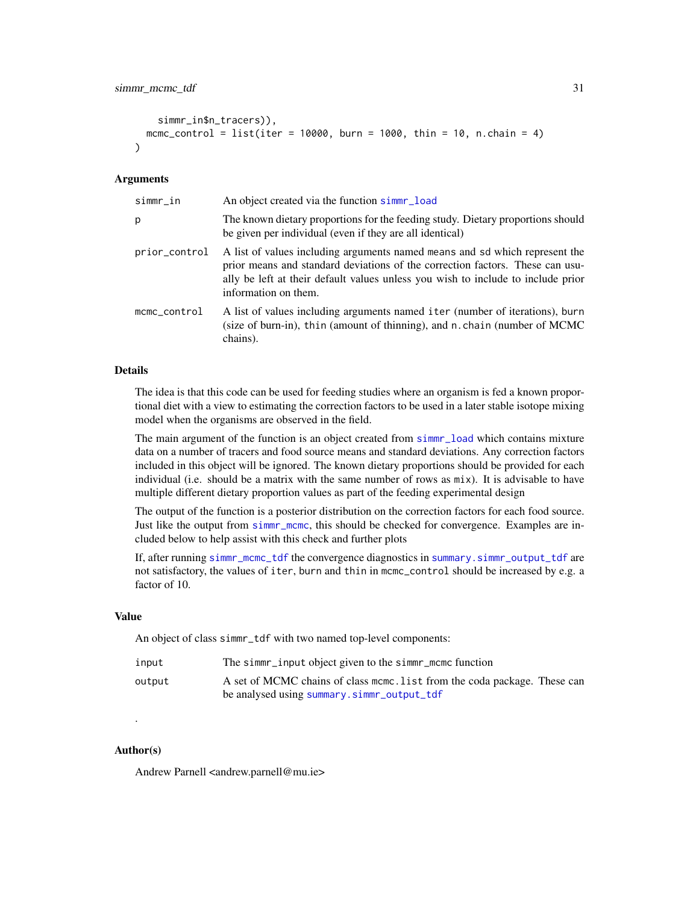```
simmr_in$n_tracers)),
 mcmc_control = list(iter = 10000, burn = 1000, thin = 10, n.chain = 4)
\lambda
```
#### **Arguments**

| An object created via the function simme-load                                                                                                                                                                                                                            |
|--------------------------------------------------------------------------------------------------------------------------------------------------------------------------------------------------------------------------------------------------------------------------|
| The known dietary proportions for the feeding study. Dietary proportions should<br>be given per individual (even if they are all identical)                                                                                                                              |
| A list of values including arguments named means and sd which represent the<br>prior means and standard deviations of the correction factors. These can usu-<br>ally be left at their default values unless you wish to include to include prior<br>information on them. |
| A list of values including arguments named iter (number of iterations), burn<br>(size of burn-in), thin (amount of thinning), and n. chain (number of MCMC<br>chains).                                                                                                   |
|                                                                                                                                                                                                                                                                          |

#### Details

The idea is that this code can be used for feeding studies where an organism is fed a known proportional diet with a view to estimating the correction factors to be used in a later stable isotope mixing model when the organisms are observed in the field.

The main argument of the function is an object created from [simmr\\_load](#page-21-1) which contains mixture data on a number of tracers and food source means and standard deviations. Any correction factors included in this object will be ignored. The known dietary proportions should be provided for each individual (i.e. should be a matrix with the same number of rows as  $mix$ ). It is advisable to have multiple different dietary proportion values as part of the feeding experimental design

The output of the function is a posterior distribution on the correction factors for each food source. Just like the output from [simmr\\_mcmc](#page-24-1), this should be checked for convergence. Examples are included below to help assist with this check and further plots

If, after running [simmr\\_mcmc\\_tdf](#page-29-1) the convergence diagnostics in [summary.simmr\\_output\\_tdf](#page-35-1) are not satisfactory, the values of iter, burn and thin in mcmc\_control should be increased by e.g. a factor of 10.

#### Value

An object of class simmr\_tdf with two named top-level components:

| input  | The simmer input object given to the simmer mome function                                                               |
|--------|-------------------------------------------------------------------------------------------------------------------------|
| output | A set of MCMC chains of class mome. List from the coda package. These can<br>be analysed using summary.simmr_output_tdf |

#### Author(s)

.

Andrew Parnell <andrew.parnell@mu.ie>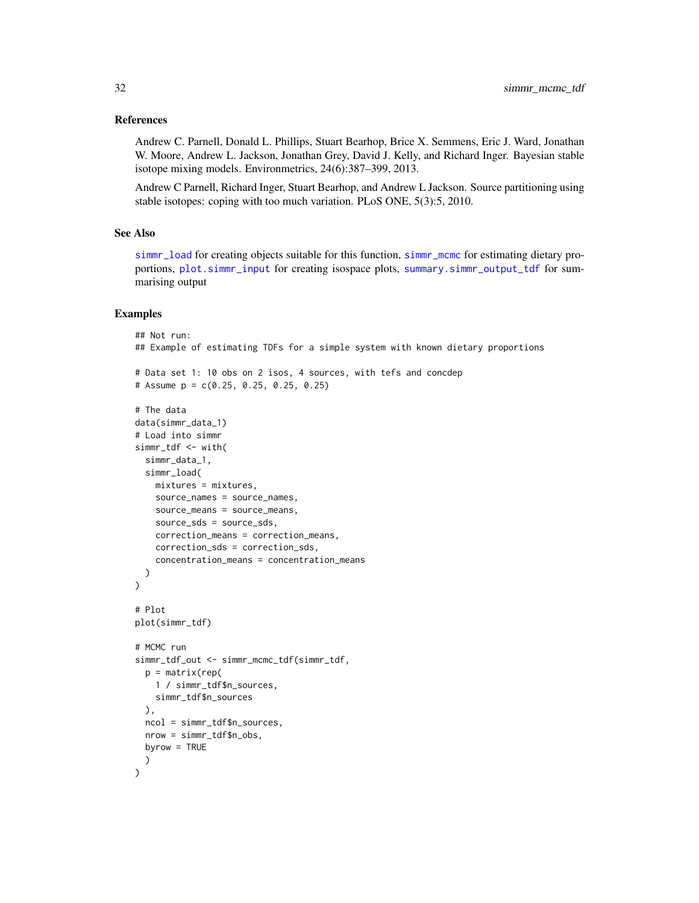#### <span id="page-31-0"></span>References

Andrew C. Parnell, Donald L. Phillips, Stuart Bearhop, Brice X. Semmens, Eric J. Ward, Jonathan W. Moore, Andrew L. Jackson, Jonathan Grey, David J. Kelly, and Richard Inger. Bayesian stable isotope mixing models. Environmetrics, 24(6):387–399, 2013.

Andrew C Parnell, Richard Inger, Stuart Bearhop, and Andrew L Jackson. Source partitioning using stable isotopes: coping with too much variation. PLoS ONE, 5(3):5, 2010.

#### See Also

[simmr\\_load](#page-21-1) for creating objects suitable for this function, [simmr\\_mcmc](#page-24-1) for estimating dietary proportions, [plot.simmr\\_input](#page-9-1) for creating isospace plots, [summary.simmr\\_output\\_tdf](#page-35-1) for summarising output

```
## Not run:
## Example of estimating TDFs for a simple system with known dietary proportions
# Data set 1: 10 obs on 2 isos, 4 sources, with tefs and concdep
# Assume p = c(0.25, 0.25, 0.25, 0.25)
# The data
data(simmr_data_1)
# Load into simmr
simmr_tdf <- with(
 simmr_data_1,
  simmr_load(
   mixtures = mixtures,
   source_names = source_names,
   source_means = source_means,
    source_sds = source_sds,
   correction_means = correction_means,
    correction_sds = correction_sds,
    concentration_means = concentration_means
  )
)
# Plot
plot(simmr_tdf)
# MCMC run
simmr_tdf_out <- simmr_mcmc_tdf(simmr_tdf,
  p = matrix(rep()1 / simmr_tdf$n_sources,
    simmr_tdf$n_sources
  ),
  ncol = simmr_tdf$n_sources,
  nrow = simmr_tdf$n_obs,
  byrow = TRUE
  )
)
```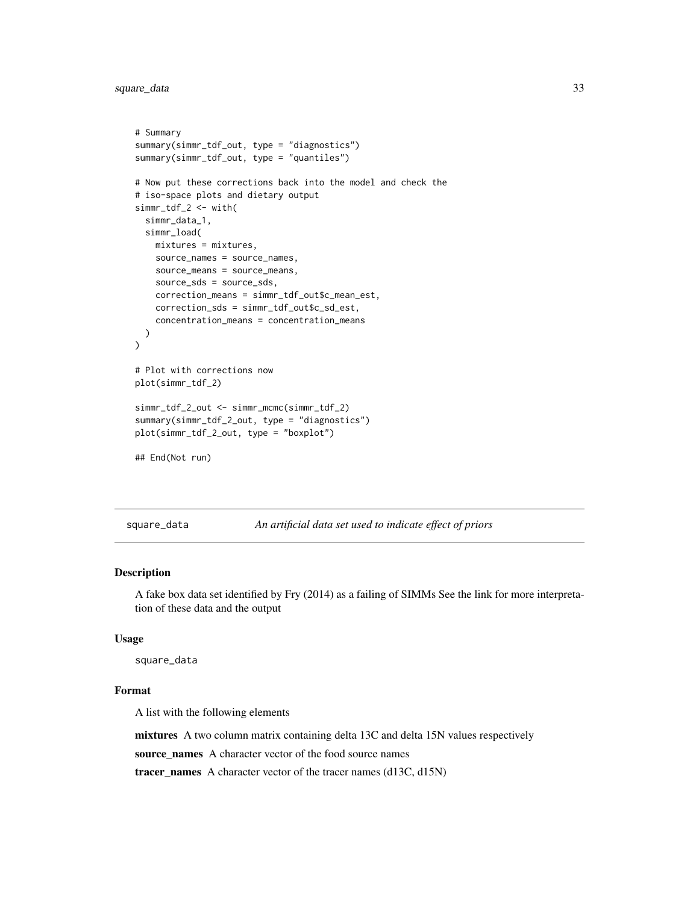<span id="page-32-0"></span>square\_data 33

```
# Summary
summary(simmr_tdf_out, type = "diagnostics")
summary(simmr_tdf_out, type = "quantiles")
# Now put these corrections back into the model and check the
# iso-space plots and dietary output
simmr_tdf_2 <- with(
 simmr_data_1,
 simmr_load(
   mixtures = mixtures,
   source_names = source_names,
   source_means = source_means,
   source_sds = source_sds,
   correction_means = simmr_tdf_out$c_mean_est,
   correction_sds = simmr_tdf_out$c_sd_est,
   concentration_means = concentration_means
 )
\mathcal{L}# Plot with corrections now
plot(simmr_tdf_2)
simmr_tdf_2_out <- simmr_mcmc(simmr_tdf_2)
summary(simmr_tdf_2_out, type = "diagnostics")
plot(simmr_tdf_2_out, type = "boxplot")
## End(Not run)
```
square\_data *An artificial data set used to indicate effect of priors*

#### Description

A fake box data set identified by Fry (2014) as a failing of SIMMs See the link for more interpretation of these data and the output

#### Usage

square\_data

#### Format

A list with the following elements

mixtures A two column matrix containing delta 13C and delta 15N values respectively

source\_names A character vector of the food source names

tracer\_names A character vector of the tracer names (d13C, d15N)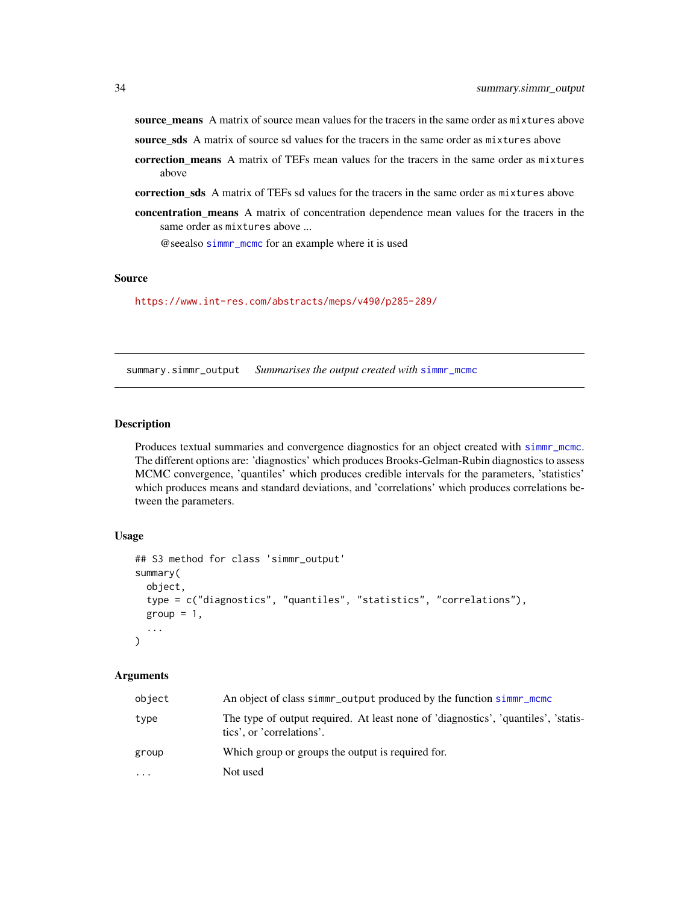<span id="page-33-0"></span>source\_means A matrix of source mean values for the tracers in the same order as mixtures above

source\_sds A matrix of source sd values for the tracers in the same order as mixtures above

- correction means A matrix of TEFs mean values for the tracers in the same order as mixtures above
- correction\_sds A matrix of TEFs sd values for the tracers in the same order as mixtures above
- concentration\_means A matrix of concentration dependence mean values for the tracers in the same order as mixtures above ...

@seealso [simmr\\_mcmc](#page-24-1) for an example where it is used

#### Source

<https://www.int-res.com/abstracts/meps/v490/p285-289/>

<span id="page-33-1"></span>summary.simmr\_output *Summarises the output created with* [simmr\\_mcmc](#page-24-1)

#### Description

Produces textual summaries and convergence diagnostics for an object created with [simmr\\_mcmc](#page-24-1). The different options are: 'diagnostics' which produces Brooks-Gelman-Rubin diagnostics to assess MCMC convergence, 'quantiles' which produces credible intervals for the parameters, 'statistics' which produces means and standard deviations, and 'correlations' which produces correlations between the parameters.

#### Usage

```
## S3 method for class 'simmr_output'
summary(
 object,
  type = c("diagnostics", "quantiles", "statistics", "correlations"),
  group = 1,...
\lambda
```
#### Arguments

| object | An object of class simmr_output produced by the function simmr_mcmc                                             |
|--------|-----------------------------------------------------------------------------------------------------------------|
| type   | The type of output required. At least none of 'diagnostics', 'quantiles', 'statis-<br>tics', or 'correlations'. |
| group  | Which group or groups the output is required for.                                                               |
| .      | Not used                                                                                                        |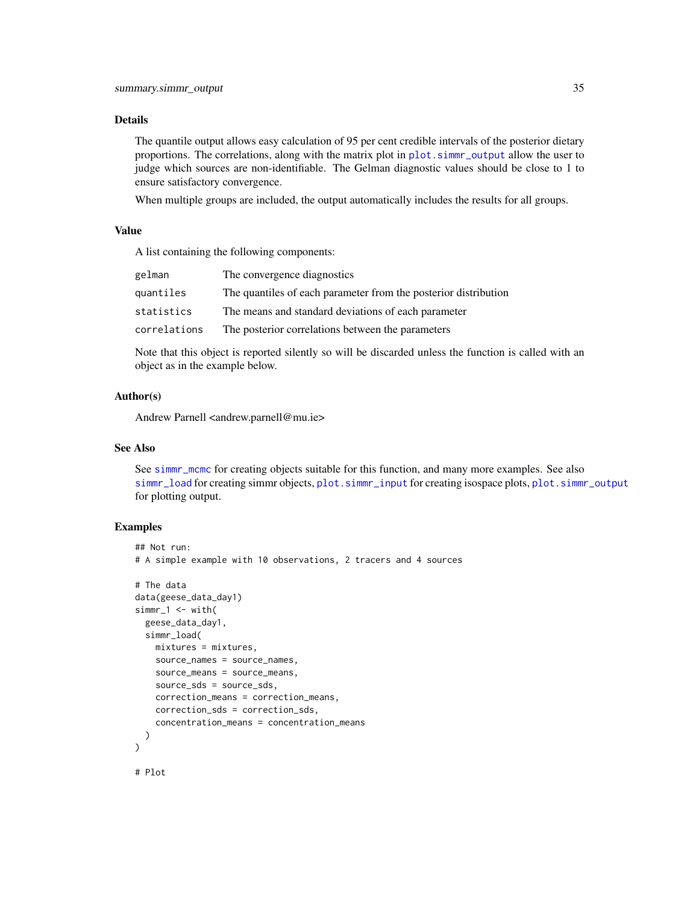#### <span id="page-34-0"></span>Details

The quantile output allows easy calculation of 95 per cent credible intervals of the posterior dietary proportions. The correlations, along with the matrix plot in [plot.simmr\\_output](#page-11-1) allow the user to judge which sources are non-identifiable. The Gelman diagnostic values should be close to 1 to ensure satisfactory convergence.

When multiple groups are included, the output automatically includes the results for all groups.

#### Value

A list containing the following components:

| gelman       | The convergence diagnostics                                     |
|--------------|-----------------------------------------------------------------|
| quantiles    | The quantiles of each parameter from the posterior distribution |
| statistics   | The means and standard deviations of each parameter             |
| correlations | The posterior correlations between the parameters               |
|              |                                                                 |

Note that this object is reported silently so will be discarded unless the function is called with an object as in the example below.

#### Author(s)

Andrew Parnell <andrew.parnell@mu.ie>

#### See Also

See [simmr\\_mcmc](#page-24-1) for creating objects suitable for this function, and many more examples. See also [simmr\\_load](#page-21-1) for creating simmr objects, [plot.simmr\\_input](#page-9-1) for creating isospace plots, [plot.simmr\\_output](#page-11-1) for plotting output.

```
## Not run:
# A simple example with 10 observations, 2 tracers and 4 sources
# The data
data(geese_data_day1)
simr_1 < - with(
  geese_data_day1,
  simmr_load(
   mixtures = mixtures,
   source_names = source_names,
   source_means = source_means,
    source_sds = source_sds,
    correction_means = correction_means,
    correction_sds = correction_sds,
    concentration_means = concentration_means
  )
)
# Plot
```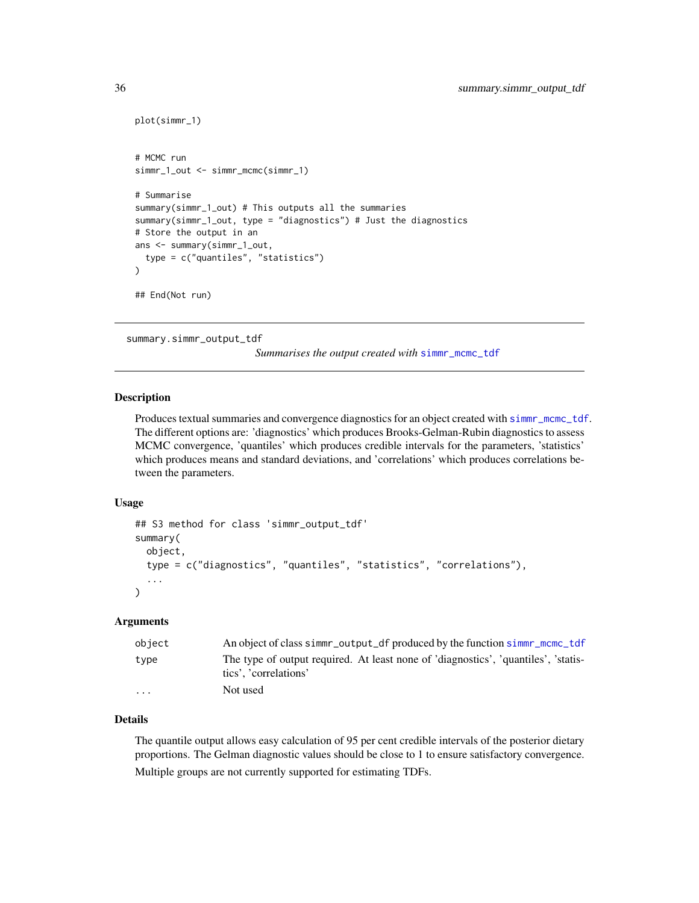```
plot(simmr_1)
# MCMC run
simmr_1_out <- simmr_mcmc(simmr_1)
# Summarise
summary(simmr_1_out) # This outputs all the summaries
summary(simmr_1_out, type = "diagnostics") # Just the diagnostics
# Store the output in an
ans <- summary(simmr_1_out,
 type = c("quantiles", "statistics")
)
## End(Not run)
```
<span id="page-35-1"></span>summary.simmr\_output\_tdf

*Summarises the output created with* [simmr\\_mcmc\\_tdf](#page-29-1)

#### Description

Produces textual summaries and convergence diagnostics for an object created with [simmr\\_mcmc\\_tdf](#page-29-1). The different options are: 'diagnostics' which produces Brooks-Gelman-Rubin diagnostics to assess MCMC convergence, 'quantiles' which produces credible intervals for the parameters, 'statistics' which produces means and standard deviations, and 'correlations' which produces correlations between the parameters.

#### Usage

```
## S3 method for class 'simmr_output_tdf'
summary(
 object,
  type = c("diagnostics", "quantiles", "statistics", "correlations"),
  ...
\lambda
```
#### Arguments

| object | An object of class simmr_output_df produced by the function simmr_mcmc_tdf                                  |
|--------|-------------------------------------------------------------------------------------------------------------|
| type   | The type of output required. At least none of 'diagnostics', 'quantiles', 'statis-<br>tics', 'correlations' |
| .      | Not used                                                                                                    |

#### Details

The quantile output allows easy calculation of 95 per cent credible intervals of the posterior dietary proportions. The Gelman diagnostic values should be close to 1 to ensure satisfactory convergence. Multiple groups are not currently supported for estimating TDFs.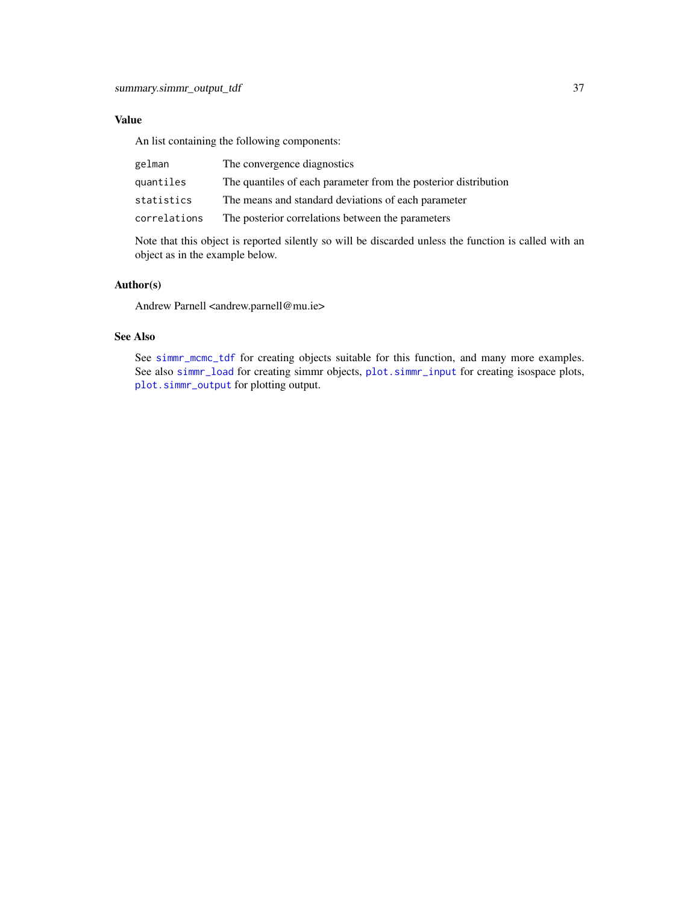#### <span id="page-36-0"></span>Value

An list containing the following components:

| gelman       | The convergence diagnostics                                     |
|--------------|-----------------------------------------------------------------|
| quantiles    | The quantiles of each parameter from the posterior distribution |
| statistics   | The means and standard deviations of each parameter             |
| correlations | The posterior correlations between the parameters               |

Note that this object is reported silently so will be discarded unless the function is called with an object as in the example below.

#### Author(s)

Andrew Parnell <andrew.parnell@mu.ie>

#### See Also

See [simmr\\_mcmc\\_tdf](#page-29-1) for creating objects suitable for this function, and many more examples. See also [simmr\\_load](#page-21-1) for creating simmr objects, [plot.simmr\\_input](#page-9-1) for creating isospace plots, [plot.simmr\\_output](#page-11-1) for plotting output.